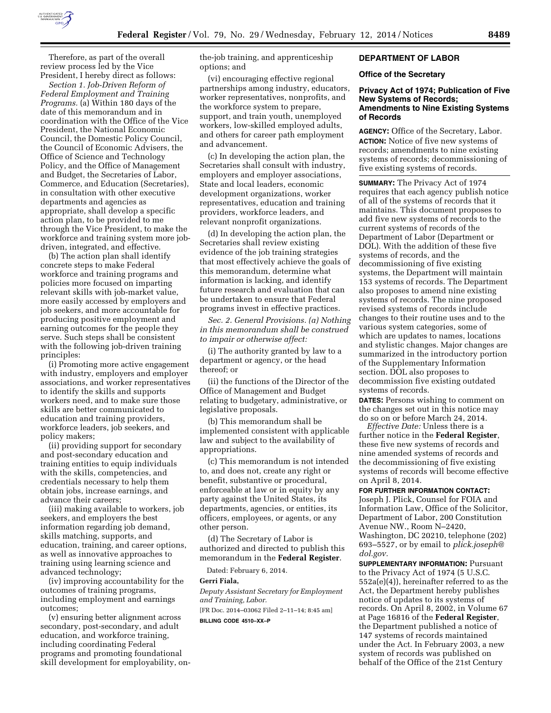

Therefore, as part of the overall review process led by the Vice President, I hereby direct as follows:

*Section 1. Job-Driven Reform of Federal Employment and Training Programs.* (a) Within 180 days of the date of this memorandum and in coordination with the Office of the Vice President, the National Economic Council, the Domestic Policy Council, the Council of Economic Advisers, the Office of Science and Technology Policy, and the Office of Management and Budget, the Secretaries of Labor, Commerce, and Education (Secretaries), in consultation with other executive departments and agencies as appropriate, shall develop a specific action plan, to be provided to me through the Vice President, to make the workforce and training system more jobdriven, integrated, and effective.

(b) The action plan shall identify concrete steps to make Federal workforce and training programs and policies more focused on imparting relevant skills with job-market value, more easily accessed by employers and job seekers, and more accountable for producing positive employment and earning outcomes for the people they serve. Such steps shall be consistent with the following job-driven training principles:

(i) Promoting more active engagement with industry, employers and employer associations, and worker representatives to identify the skills and supports workers need, and to make sure those skills are better communicated to education and training providers, workforce leaders, job seekers, and policy makers;

(ii) providing support for secondary and post-secondary education and training entities to equip individuals with the skills, competencies, and credentials necessary to help them obtain jobs, increase earnings, and advance their careers;

(iii) making available to workers, job seekers, and employers the best information regarding job demand, skills matching, supports, and education, training, and career options, as well as innovative approaches to training using learning science and advanced technology;

(iv) improving accountability for the outcomes of training programs, including employment and earnings outcomes;

(v) ensuring better alignment across secondary, post-secondary, and adult education, and workforce training, including coordinating Federal programs and promoting foundational skill development for employability, onthe-job training, and apprenticeship options; and

(vi) encouraging effective regional partnerships among industry, educators, worker representatives, nonprofits, and the workforce system to prepare, support, and train youth, unemployed workers, low-skilled employed adults, and others for career path employment and advancement.

(c) In developing the action plan, the Secretaries shall consult with industry, employers and employer associations, State and local leaders, economic development organizations, worker representatives, education and training providers, workforce leaders, and relevant nonprofit organizations.

(d) In developing the action plan, the Secretaries shall review existing evidence of the job training strategies that most effectively achieve the goals of this memorandum, determine what information is lacking, and identify future research and evaluation that can be undertaken to ensure that Federal programs invest in effective practices.

*Sec. 2. General Provisions. (a) Nothing in this memorandum shall be construed to impair or otherwise affect:* 

(i) The authority granted by law to a department or agency, or the head thereof; or

(ii) the functions of the Director of the Office of Management and Budget relating to budgetary, administrative, or legislative proposals.

(b) This memorandum shall be implemented consistent with applicable law and subject to the availability of appropriations.

(c) This memorandum is not intended to, and does not, create any right or benefit, substantive or procedural, enforceable at law or in equity by any party against the United States, its departments, agencies, or entities, its officers, employees, or agents, or any other person.

(d) The Secretary of Labor is authorized and directed to publish this memorandum in the **Federal Register**.

Dated: February 6, 2014.

#### **Gerri Fiala,**

*Deputy Assistant Secretary for Employment and Training, Labor.* 

[FR Doc. 2014–03062 Filed 2–11–14; 8:45 am]

**BILLING CODE 4510–XX–P** 

# **DEPARTMENT OF LABOR**

#### **Office of the Secretary**

# **Privacy Act of 1974; Publication of Five New Systems of Records; Amendments to Nine Existing Systems of Records**

**AGENCY:** Office of the Secretary, Labor. **ACTION:** Notice of five new systems of records; amendments to nine existing systems of records; decommissioning of five existing systems of records.

**SUMMARY:** The Privacy Act of 1974 requires that each agency publish notice of all of the systems of records that it maintains. This document proposes to add five new systems of records to the current systems of records of the Department of Labor (Department or DOL). With the addition of these five systems of records, and the decommissioning of five existing systems, the Department will maintain 153 systems of records. The Department also proposes to amend nine existing systems of records. The nine proposed revised systems of records include changes to their routine uses and to the various system categories, some of which are updates to names, locations and stylistic changes. Major changes are summarized in the introductory portion of the Supplementary Information section. DOL also proposes to decommission five existing outdated systems of records.

**DATES:** Persons wishing to comment on the changes set out in this notice may do so on or before March 24, 2014.

*Effective Date:* Unless there is a further notice in the **Federal Register**, these five new systems of records and nine amended systems of records and the decommissioning of five existing systems of records will become effective on April 8, 2014.

# **FOR FURTHER INFORMATION CONTACT:**

Joseph J. Plick, Counsel for FOIA and Information Law, Office of the Solicitor, Department of Labor, 200 Constitution Avenue NW., Room N–2420, Washington, DC 20210, telephone (202) 693–5527, or by email to *[plick.joseph@](mailto:plick.joseph@dol.gov) [dol.gov.](mailto:plick.joseph@dol.gov)* 

**SUPPLEMENTARY INFORMATION: Pursuant** to the Privacy Act of 1974 (5 U.S.C. 552a(e)(4)), hereinafter referred to as the Act, the Department hereby publishes notice of updates to its systems of records. On April 8, 2002, in Volume 67 at Page 16816 of the **Federal Register**, the Department published a notice of 147 systems of records maintained under the Act. In February 2003, a new system of records was published on behalf of the Office of the 21st Century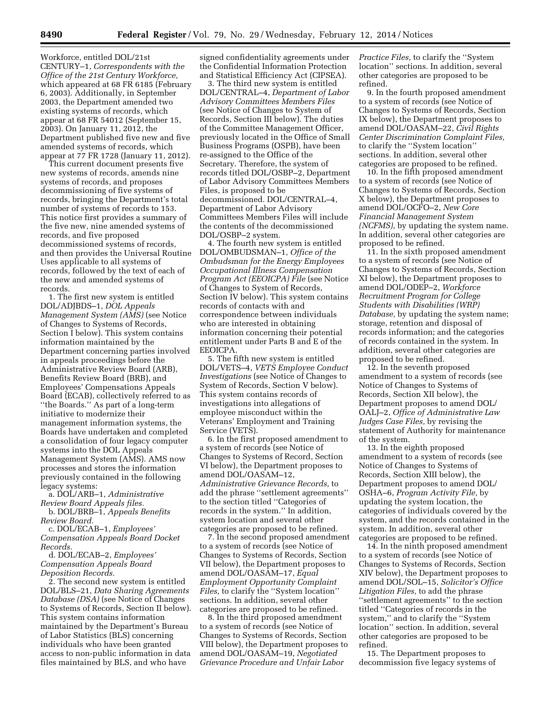Workforce, entitled DOL/21st CENTURY–1, *Correspondents with the Office of the 21st Century Workforce,*  which appeared at 68 FR 6185 (February 6, 2003). Additionally, in September 2003, the Department amended two existing systems of records, which appear at 68 FR 54012 (September 15, 2003). On January 11, 2012, the Department published five new and five amended systems of records, which appear at 77 FR 1728 (January 11, 2012).

This current document presents five new systems of records, amends nine systems of records, and proposes decommissioning of five systems of records, bringing the Department's total number of systems of records to 153. This notice first provides a summary of the five new, nine amended systems of records, and five proposed decommissioned systems of records, and then provides the Universal Routine Uses applicable to all systems of records, followed by the text of each of the new and amended systems of records.

1. The first new system is entitled DOL/ADJBDS–1, *DOL Appeals Management System (AMS)* (see Notice of Changes to Systems of Records, Section I below). This system contains information maintained by the Department concerning parties involved in appeals proceedings before the Administrative Review Board (ARB), Benefits Review Board (BRB), and Employees' Compensations Appeals Board (ECAB), collectively referred to as ''the Boards.'' As part of a long-term initiative to modernize their management information systems, the Boards have undertaken and completed a consolidation of four legacy computer systems into the DOL Appeals Management System (AMS). AMS now processes and stores the information previously contained in the following legacy systems:

a. DOL/ARB–1, *Administrative Review Board Appeals files.*  b. DOL/BRB–1, *Appeals Benefits* 

*Review Board.*  c. DOL/ECAB–1, *Employees'* 

*Compensation Appeals Board Docket Records.* 

d. DOL/ECAB–2, *Employees' Compensation Appeals Board Deposition Records.* 

2. The second new system is entitled DOL/BLS–21, *Data Sharing Agreements Database (DSA)* (see Notice of Changes to Systems of Records, Section II below). This system contains information maintained by the Department's Bureau of Labor Statistics (BLS) concerning individuals who have been granted access to non-public information in data files maintained by BLS, and who have

signed confidentiality agreements under the Confidential Information Protection and Statistical Efficiency Act (CIPSEA).

3. The third new system is entitled DOL/CENTRAL–4, *Department of Labor Advisory Committees Members Files*  (see Notice of Changes to System of Records, Section III below). The duties of the Committee Management Officer, previously located in the Office of Small Business Programs (OSPB), have been re-assigned to the Office of the Secretary. Therefore, the system of records titled DOL/OSBP–2, Department of Labor Advisory Committees Members Files, is proposed to be decommissioned. DOL/CENTRAL–4, Department of Labor Advisory Committees Members Files will include the contents of the decommissioned DOL/OSBP–2 system.

4. The fourth new system is entitled DOL/OMBUDSMAN–1, *Office of the Ombudsman for the Energy Employees Occupational Illness Compensation Program Act (EEOICPA) File* (see Notice of Changes to System of Records, Section IV below). This system contains records of contacts with and correspondence between individuals who are interested in obtaining information concerning their potential entitlement under Parts B and E of the EEOICPA.

5. The fifth new system is entitled DOL/VETS–4, *VETS Employee Conduct Investigations* (see Notice of Changes to System of Records, Section V below). This system contains records of investigations into allegations of employee misconduct within the Veterans' Employment and Training Service (VETS).

6. In the first proposed amendment to a system of records (see Notice of Changes to Systems of Record, Section VI below), the Department proposes to amend DOL/OASAM–12, *Administrative Grievance Records,* to add the phrase ''settlement agreements'' to the section titled ''Categories of records in the system.'' In addition, system location and several other categories are proposed to be refined.

7. In the second proposed amendment to a system of records (see Notice of Changes to Systems of Records, Section VII below), the Department proposes to amend DOL/OASAM–17, *Equal Employment Opportunity Complaint Files,* to clarify the "System location" sections. In addition, several other categories are proposed to be refined.

8. In the third proposed amendment to a system of records (see Notice of Changes to Systems of Records, Section VIII below), the Department proposes to amend DOL/OASAM–19, *Negotiated Grievance Procedure and Unfair Labor* 

*Practice Files,* to clarify the ''System location'' sections. In addition, several other categories are proposed to be refined.

9. In the fourth proposed amendment to a system of records (see Notice of Changes to Systems of Records, Section IX below), the Department proposes to amend DOL/OASAM–22, *Civil Rights Center Discrimination Complaint Files,*  to clarify the ''System location'' sections. In addition, several other categories are proposed to be refined.

10. In the fifth proposed amendment to a system of records (see Notice of Changes to Systems of Records, Section X below), the Department proposes to amend DOL/OCFO–2, *New Core Financial Management System (NCFMS),* by updating the system name. In addition, several other categories are proposed to be refined.

11. In the sixth proposed amendment to a system of records (see Notice of Changes to Systems of Records, Section XI below), the Department proposes to amend DOL/ODEP–2, *Workforce Recruitment Program for College Students with Disabilities (WRP) Database,* by updating the system name; storage, retention and disposal of records information; and the categories of records contained in the system. In addition, several other categories are proposed to be refined.

12. In the seventh proposed amendment to a system of records (see Notice of Changes to Systems of Records, Section XII below), the Department proposes to amend DOL/ OALJ–2, *Office of Administrative Law Judges Case Files,* by revising the statement of Authority for maintenance of the system.

13. In the eighth proposed amendment to a system of records (see Notice of Changes to Systems of Records, Section XIII below), the Department proposes to amend DOL/ OSHA–6, *Program Activity File,* by updating the system location, the categories of individuals covered by the system, and the records contained in the system. In addition, several other categories are proposed to be refined.

14. In the ninth proposed amendment to a system of records (see Notice of Changes to Systems of Records, Section XIV below), the Department proposes to amend DOL/SOL–15, *Solicitor's Office Litigation Files,* to add the phrase ''settlement agreements'' to the section titled ''Categories of records in the system,'' and to clarify the ''System location'' section. In addition, several other categories are proposed to be refined.

15. The Department proposes to decommission five legacy systems of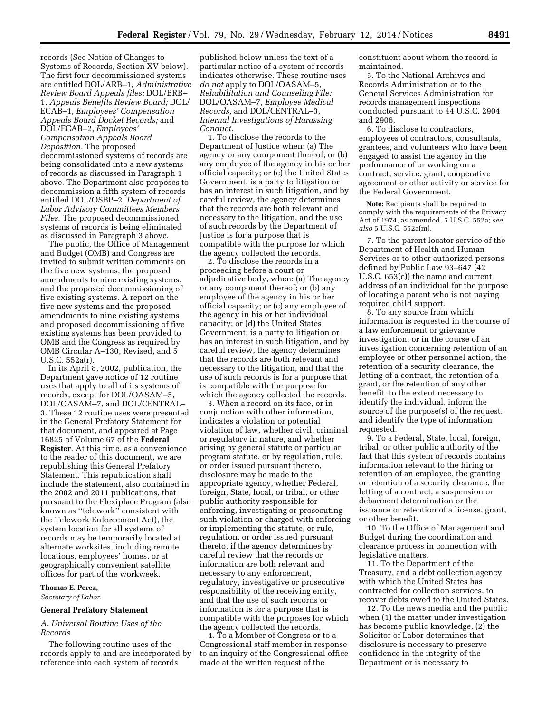records (See Notice of Changes to Systems of Records, Section XV below). The first four decommissioned systems are entitled DOL/ARB–1, *Administrative Review Board Appeals files;* DOL/BRB– 1, *Appeals Benefits Review Board;* DOL/ ECAB–1, *Employees' Compensation Appeals Board Docket Records;* and DOL/ECAB–2, *Employees' Compensation Appeals Board Deposition.* The proposed decommissioned systems of records are being consolidated into a new systems of records as discussed in Paragraph 1 above. The Department also proposes to decommission a fifth system of records entitled DOL/OSBP–2, *Department of Labor Advisory Committees Members Files.* The proposed decommissioned systems of records is being eliminated as discussed in Paragraph 3 above.

The public, the Office of Management and Budget (OMB) and Congress are invited to submit written comments on the five new systems, the proposed amendments to nine existing systems, and the proposed decommissioning of five existing systems. A report on the five new systems and the proposed amendments to nine existing systems and proposed decommissioning of five existing systems has been provided to OMB and the Congress as required by OMB Circular A–130, Revised, and 5 U.S.C. 552a(r).

In its April 8, 2002, publication, the Department gave notice of 12 routine uses that apply to all of its systems of records, except for DOL/OASAM–5, DOL/OASAM–7, and DOL/CENTRAL– 3. These 12 routine uses were presented in the General Prefatory Statement for that document, and appeared at Page 16825 of Volume 67 of the **Federal Register**. At this time, as a convenience to the reader of this document, we are republishing this General Prefatory Statement. This republication shall include the statement, also contained in the 2002 and 2011 publications, that pursuant to the Flexiplace Program (also known as ''telework'' consistent with the Telework Enforcement Act), the system location for all systems of records may be temporarily located at alternate worksites, including remote locations, employees' homes, or at geographically convenient satellite offices for part of the workweek.

# **Thomas E. Perez,**

*Secretary of Labor.* 

#### **General Prefatory Statement**

# *A. Universal Routine Uses of the Records*

The following routine uses of the records apply to and are incorporated by reference into each system of records

published below unless the text of a particular notice of a system of records indicates otherwise. These routine uses *do not* apply to DOL/OASAM–5, *Rehabilitation and Counseling File;*  DOL/OASAM–7, *Employee Medical Records,* and DOL/CENTRAL–3, *Internal Investigations of Harassing Conduct.* 

1. To disclose the records to the Department of Justice when: (a) The agency or any component thereof; or (b) any employee of the agency in his or her official capacity; or (c) the United States Government, is a party to litigation or has an interest in such litigation, and by careful review, the agency determines that the records are both relevant and necessary to the litigation, and the use of such records by the Department of Justice is for a purpose that is compatible with the purpose for which the agency collected the records.

2. To disclose the records in a proceeding before a court or adjudicative body, when: (a) The agency or any component thereof; or (b) any employee of the agency in his or her official capacity; or (c) any employee of the agency in his or her individual capacity; or (d) the United States Government, is a party to litigation or has an interest in such litigation, and by careful review, the agency determines that the records are both relevant and necessary to the litigation, and that the use of such records is for a purpose that is compatible with the purpose for which the agency collected the records.

3. When a record on its face, or in conjunction with other information, indicates a violation or potential violation of law, whether civil, criminal or regulatory in nature, and whether arising by general statute or particular program statute, or by regulation, rule, or order issued pursuant thereto, disclosure may be made to the appropriate agency, whether Federal, foreign, State, local, or tribal, or other public authority responsible for enforcing, investigating or prosecuting such violation or charged with enforcing or implementing the statute, or rule, regulation, or order issued pursuant thereto, if the agency determines by careful review that the records or information are both relevant and necessary to any enforcement, regulatory, investigative or prosecutive responsibility of the receiving entity, and that the use of such records or information is for a purpose that is compatible with the purposes for which the agency collected the records.

4. To a Member of Congress or to a Congressional staff member in response to an inquiry of the Congressional office made at the written request of the

constituent about whom the record is maintained.

5. To the National Archives and Records Administration or to the General Services Administration for records management inspections conducted pursuant to 44 U.S.C. 2904 and 2906.

6. To disclose to contractors, employees of contractors, consultants, grantees, and volunteers who have been engaged to assist the agency in the performance of or working on a contract, service, grant, cooperative agreement or other activity or service for the Federal Government.

**Note:** Recipients shall be required to comply with the requirements of the Privacy Act of 1974, as amended, 5 U.S.C. 552a; *see also* 5 U.S.C. 552a(m).

7. To the parent locator service of the Department of Health and Human Services or to other authorized persons defined by Public Law 93–647 (42 U.S.C. 653(c)) the name and current address of an individual for the purpose of locating a parent who is not paying required child support.

8. To any source from which information is requested in the course of a law enforcement or grievance investigation, or in the course of an investigation concerning retention of an employee or other personnel action, the retention of a security clearance, the letting of a contract, the retention of a grant, or the retention of any other benefit, to the extent necessary to identify the individual, inform the source of the purpose(s) of the request, and identify the type of information requested.

9. To a Federal, State, local, foreign, tribal, or other public authority of the fact that this system of records contains information relevant to the hiring or retention of an employee, the granting or retention of a security clearance, the letting of a contract, a suspension or debarment determination or the issuance or retention of a license, grant, or other benefit.

10. To the Office of Management and Budget during the coordination and clearance process in connection with legislative matters.

11. To the Department of the Treasury, and a debt collection agency with which the United States has contracted for collection services, to recover debts owed to the United States.

12. To the news media and the public when (1) the matter under investigation has become public knowledge, (2) the Solicitor of Labor determines that disclosure is necessary to preserve confidence in the integrity of the Department or is necessary to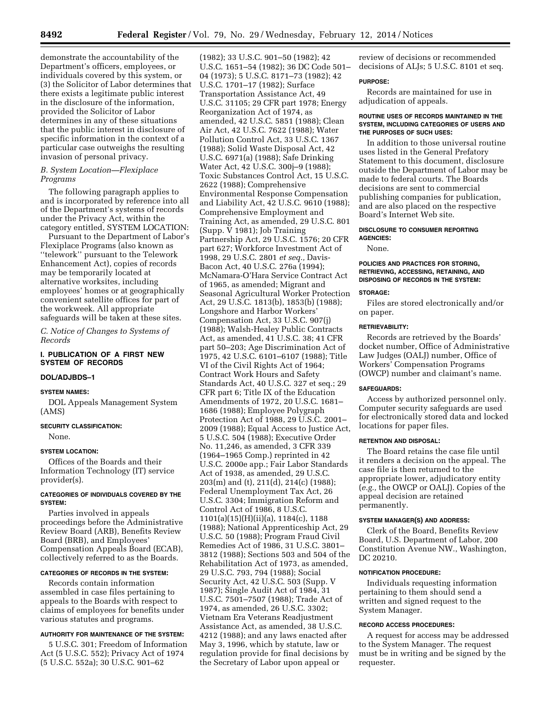demonstrate the accountability of the Department's officers, employees, or individuals covered by this system, or (3) the Solicitor of Labor determines that there exists a legitimate public interest in the disclosure of the information, provided the Solicitor of Labor determines in any of these situations that the public interest in disclosure of specific information in the context of a particular case outweighs the resulting invasion of personal privacy.

# *B. System Location—Flexiplace Programs*

The following paragraph applies to and is incorporated by reference into all of the Department's systems of records under the Privacy Act, within the category entitled, SYSTEM LOCATION:

Pursuant to the Department of Labor's Flexiplace Programs (also known as ''telework'' pursuant to the Telework Enhancement Act), copies of records may be temporarily located at alternative worksites, including employees' homes or at geographically convenient satellite offices for part of the workweek. All appropriate safeguards will be taken at these sites.

*C. Notice of Changes to Systems of Records* 

# **I. PUBLICATION OF A FIRST NEW SYSTEM OF RECORDS**

# **DOL/ADJBDS–1**

#### **SYSTEM NAMES:**

DOL Appeals Management System (AMS)

# **SECURITY CLASSIFICATION:**

None.

# **SYSTEM LOCATION:**

Offices of the Boards and their Information Technology (IT) service provider(s).

# **CATEGORIES OF INDIVIDUALS COVERED BY THE SYSTEM:**

Parties involved in appeals proceedings before the Administrative Review Board (ARB), Benefits Review Board (BRB), and Employees' Compensation Appeals Board (ECAB), collectively referred to as the Boards.

# **CATEGORIES OF RECORDS IN THE SYSTEM:**

Records contain information assembled in case files pertaining to appeals to the Boards with respect to claims of employees for benefits under various statutes and programs.

# **AUTHORITY FOR MAINTENANCE OF THE SYSTEM:**

5 U.S.C. 301; Freedom of Information Act (5 U.S.C. 552); Privacy Act of 1974 (5 U.S.C. 552a); 30 U.S.C. 901–62

(1982); 33 U.S.C. 901–50 (1982); 42 U.S.C. 1651–54 (1982); 36 DC Code 501– 04 (1973); 5 U.S.C. 8171–73 (1982); 42 U.S.C. 1701–17 (1982); Surface Transportation Assistance Act, 49 U.S.C. 31105; 29 CFR part 1978; Energy Reorganization Act of 1974, as amended, 42 U.S.C. 5851 (1988); Clean Air Act, 42 U.S.C. 7622 (1988); Water Pollution Control Act, 33 U.S.C. 1367 (1988); Solid Waste Disposal Act, 42 U.S.C. 6971(a) (1988); Safe Drinking Water Act, 42 U.S.C. 300j–9 (1988); Toxic Substances Control Act, 15 U.S.C. 2622 (1988); Comprehensive Environmental Response Compensation and Liability Act, 42 U.S.C. 9610 (1988); Comprehensive Employment and Training Act, as amended, 29 U.S.C. 801 (Supp. V 1981); Job Training Partnership Act, 29 U.S.C. 1576; 20 CFR part 627; Workforce Investment Act of 1998, 29 U.S.C. 2801 *et seq.,* Davis-Bacon Act, 40 U.S.C. 276a (1994); McNamara-O'Hara Service Contract Act of 1965, as amended; Migrant and Seasonal Agricultural Worker Protection Act, 29 U.S.C. 1813(b), 1853(b) (1988); Longshore and Harbor Workers' Compensation Act, 33 U.S.C. 907(j) (1988); Walsh-Healey Public Contracts Act, as amended, 41 U.S.C. 38; 41 CFR part 50–203; Age Discrimination Act of 1975, 42 U.S.C. 6101–6107 (1988); Title VI of the Civil Rights Act of 1964; Contract Work Hours and Safety Standards Act, 40 U.S.C. 327 et seq.; 29 CFR part 6; Title IX of the Education Amendments of 1972, 20 U.S.C. 1681– 1686 (1988); Employee Polygraph Protection Act of 1988, 29 U.S.C. 2001– 2009 (1988); Equal Access to Justice Act, 5 U.S.C. 504 (1988); Executive Order No. 11,246, as amended, 3 CFR 339 (1964–1965 Comp.) reprinted in 42 U.S.C. 2000e app.; Fair Labor Standards Act of 1938, as amended, 29 U.S.C. 203(m) and (t), 211(d), 214(c) (1988); Federal Unemployment Tax Act, 26 U.S.C. 3304; Immigration Reform and Control Act of 1986, 8 U.S.C. 1101(a)(15)(H)(ii)(a), 1184(c), 1188 (1988); National Apprenticeship Act, 29 U.S.C. 50 (1988); Program Fraud Civil Remedies Act of 1986, 31 U.S.C. 3801– 3812 (1988); Sections 503 and 504 of the Rehabilitation Act of 1973, as amended, 29 U.S.C. 793, 794 (1988); Social Security Act, 42 U.S.C. 503 (Supp. V 1987); Single Audit Act of 1984, 31 U.S.C. 7501–7507 (1988); Trade Act of 1974, as amended, 26 U.S.C. 3302; Vietnam Era Veterans Readjustment Assistance Act, as amended, 38 U.S.C. 4212 (1988); and any laws enacted after May 3, 1996, which by statute, law or regulation provide for final decisions by the Secretary of Labor upon appeal or

review of decisions or recommended decisions of ALJs; 5 U.S.C. 8101 et seq.

#### **PURPOSE:**

Records are maintained for use in adjudication of appeals.

# **ROUTINE USES OF RECORDS MAINTAINED IN THE SYSTEM, INCLUDING CATEGORIES OF USERS AND THE PURPOSES OF SUCH USES:**

In addition to those universal routine uses listed in the General Prefatory Statement to this document, disclosure outside the Department of Labor may be made to federal courts. The Boards decisions are sent to commercial publishing companies for publication, and are also placed on the respective Board's Internet Web site.

#### **DISCLOSURE TO CONSUMER REPORTING AGENCIES:**

None.

# **POLICIES AND PRACTICES FOR STORING, RETRIEVING, ACCESSING, RETAINING, AND DISPOSING OF RECORDS IN THE SYSTEM:**

# **STORAGE:**

Files are stored electronically and/or on paper.

#### **RETRIEVABILITY:**

Records are retrieved by the Boards' docket number, Office of Administrative Law Judges (OALJ) number, Office of Workers' Compensation Programs (OWCP) number and claimant's name.

#### **SAFEGUARDS:**

Access by authorized personnel only. Computer security safeguards are used for electronically stored data and locked locations for paper files.

# **RETENTION AND DISPOSAL:**

The Board retains the case file until it renders a decision on the appeal. The case file is then returned to the appropriate lower, adjudicatory entity (*e.g.,* the OWCP or OALJ). Copies of the appeal decision are retained permanently.

# **SYSTEM MANAGER(S) AND ADDRESS:**

Clerk of the Board, Benefits Review Board, U.S. Department of Labor, 200 Constitution Avenue NW., Washington, DC 20210.

# **NOTIFICATION PROCEDURE:**

Individuals requesting information pertaining to them should send a written and signed request to the System Manager.

# **RECORD ACCESS PROCEDURES:**

A request for access may be addressed to the System Manager. The request must be in writing and be signed by the requester.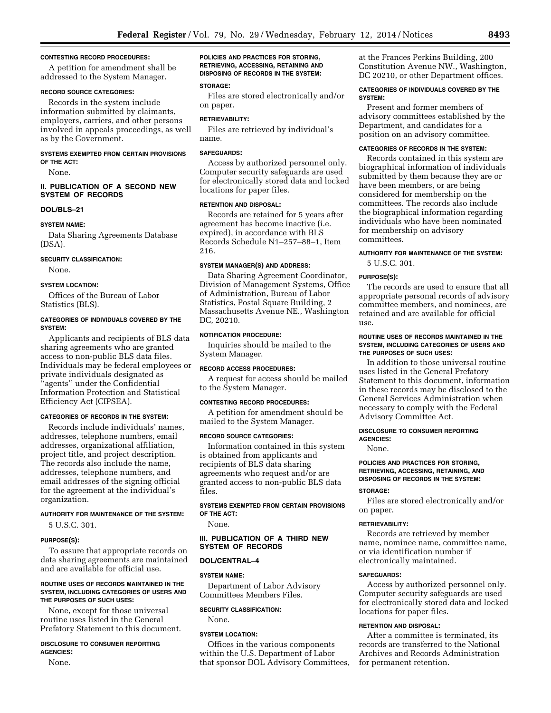#### **CONTESTING RECORD PROCEDURES:**

A petition for amendment shall be addressed to the System Manager.

#### **RECORD SOURCE CATEGORIES:**

Records in the system include information submitted by claimants, employers, carriers, and other persons involved in appeals proceedings, as well as by the Government.

#### **SYSTEMS EXEMPTED FROM CERTAIN PROVISIONS OF THE ACT:**

None.

#### **II. PUBLICATION OF A SECOND NEW SYSTEM OF RECORDS**

# **DOL/BLS–21**

#### **SYSTEM NAME:**

Data Sharing Agreements Database (DSA).

# **SECURITY CLASSIFICATION:**

None.

#### **SYSTEM LOCATION:**

Offices of the Bureau of Labor Statistics (BLS).

# **CATEGORIES OF INDIVIDUALS COVERED BY THE SYSTEM:**

Applicants and recipients of BLS data sharing agreements who are granted access to non-public BLS data files. Individuals may be federal employees or private individuals designated as ''agents'' under the Confidential Information Protection and Statistical Efficiency Act (CIPSEA).

# **CATEGORIES OF RECORDS IN THE SYSTEM:**

Records include individuals' names, addresses, telephone numbers, email addresses, organizational affiliation, project title, and project description. The records also include the name, addresses, telephone numbers, and email addresses of the signing official for the agreement at the individual's organization.

#### **AUTHORITY FOR MAINTENANCE OF THE SYSTEM:**

5 U.S.C. 301.

# **PURPOSE(S):**

To assure that appropriate records on data sharing agreements are maintained and are available for official use.

#### **ROUTINE USES OF RECORDS MAINTAINED IN THE SYSTEM, INCLUDING CATEGORIES OF USERS AND THE PURPOSES OF SUCH USES:**

None, except for those universal routine uses listed in the General Prefatory Statement to this document.

# **DISCLOSURE TO CONSUMER REPORTING AGENCIES:**

None.

**POLICIES AND PRACTICES FOR STORING, RETRIEVING, ACCESSING, RETAINING AND DISPOSING OF RECORDS IN THE SYSTEM:** 

# **STORAGE:**

Files are stored electronically and/or on paper.

# **RETRIEVABILITY:**

Files are retrieved by individual's name.

#### **SAFEGUARDS:**

Access by authorized personnel only. Computer security safeguards are used for electronically stored data and locked locations for paper files.

# **RETENTION AND DISPOSAL:**

Records are retained for 5 years after agreement has become inactive (i.e. expired), in accordance with BLS Records Schedule N1–257–88–1, Item 216.

#### **SYSTEM MANAGER(S) AND ADDRESS:**

Data Sharing Agreement Coordinator, Division of Management Systems, Office of Administration, Bureau of Labor Statistics, Postal Square Building, 2 Massachusetts Avenue NE., Washington DC, 20210.

# **NOTIFICATION PROCEDURE:**

Inquiries should be mailed to the System Manager.

#### **RECORD ACCESS PROCEDURES:**

A request for access should be mailed to the System Manager.

#### **CONTESTING RECORD PROCEDURES:**

A petition for amendment should be mailed to the System Manager.

#### **RECORD SOURCE CATEGORIES:**

Information contained in this system is obtained from applicants and recipients of BLS data sharing agreements who request and/or are granted access to non-public BLS data files.

**SYSTEMS EXEMPTED FROM CERTAIN PROVISIONS OF THE ACT:** 

None.

# **III. PUBLICATION OF A THIRD NEW SYSTEM OF RECORDS**

# **DOL/CENTRAL–4**

# **SYSTEM NAME:**

Department of Labor Advisory Committees Members Files.

# **SECURITY CLASSIFICATION:**

None.

#### **SYSTEM LOCATION:**

Offices in the various components within the U.S. Department of Labor that sponsor DOL Advisory Committees, at the Frances Perkins Building, 200 Constitution Avenue NW., Washington, DC 20210, or other Department offices.

# **CATEGORIES OF INDIVIDUALS COVERED BY THE SYSTEM:**

Present and former members of advisory committees established by the Department, and candidates for a position on an advisory committee.

# **CATEGORIES OF RECORDS IN THE SYSTEM:**

Records contained in this system are biographical information of individuals submitted by them because they are or have been members, or are being considered for membership on the committees. The records also include the biographical information regarding individuals who have been nominated for membership on advisory committees.

# **AUTHORITY FOR MAINTENANCE OF THE SYSTEM:**  5 U.S.C. 301.

#### **PURPOSE(S):**

The records are used to ensure that all appropriate personal records of advisory committee members, and nominees, are retained and are available for official use.

# **ROUTINE USES OF RECORDS MAINTAINED IN THE SYSTEM, INCLUDING CATEGORIES OF USERS AND THE PURPOSES OF SUCH USES:**

In addition to those universal routine uses listed in the General Prefatory Statement to this document, information in these records may be disclosed to the General Services Administration when necessary to comply with the Federal Advisory Committee Act.

#### **DISCLOSURE TO CONSUMER REPORTING AGENCIES:**

None.

#### **POLICIES AND PRACTICES FOR STORING, RETRIEVING, ACCESSING, RETAINING, AND DISPOSING OF RECORDS IN THE SYSTEM:**

#### **STORAGE:**

Files are stored electronically and/or on paper.

#### **RETRIEVABILITY:**

Records are retrieved by member name, nominee name, committee name, or via identification number if electronically maintained.

#### **SAFEGUARDS:**

Access by authorized personnel only. Computer security safeguards are used for electronically stored data and locked locations for paper files.

# **RETENTION AND DISPOSAL:**

After a committee is terminated, its records are transferred to the National Archives and Records Administration for permanent retention.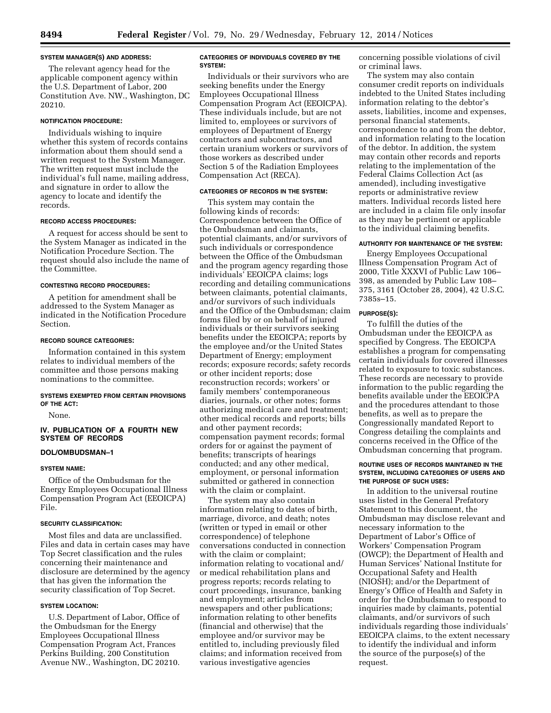#### **SYSTEM MANAGER(S) AND ADDRESS:**

The relevant agency head for the applicable component agency within the U.S. Department of Labor, 200 Constitution Ave. NW., Washington, DC 20210.

# **NOTIFICATION PROCEDURE:**

Individuals wishing to inquire whether this system of records contains information about them should send a written request to the System Manager. The written request must include the individual's full name, mailing address, and signature in order to allow the agency to locate and identify the records.

# **RECORD ACCESS PROCEDURES:**

A request for access should be sent to the System Manager as indicated in the Notification Procedure Section. The request should also include the name of the Committee.

# **CONTESTING RECORD PROCEDURES:**

A petition for amendment shall be addressed to the System Manager as indicated in the Notification Procedure Section.

# **RECORD SOURCE CATEGORIES:**

Information contained in this system relates to individual members of the committee and those persons making nominations to the committee.

# **SYSTEMS EXEMPTED FROM CERTAIN PROVISIONS OF THE ACT:**

None.

# **IV. PUBLICATION OF A FOURTH NEW SYSTEM OF RECORDS**

# **DOL/OMBUDSMAN–1**

# **SYSTEM NAME:**

Office of the Ombudsman for the Energy Employees Occupational Illness Compensation Program Act (EEOICPA) File.

### **SECURITY CLASSIFICATION:**

Most files and data are unclassified. Files and data in certain cases may have Top Secret classification and the rules concerning their maintenance and disclosure are determined by the agency that has given the information the security classification of Top Secret.

#### **SYSTEM LOCATION:**

U.S. Department of Labor, Office of the Ombudsman for the Energy Employees Occupational Illness Compensation Program Act, Frances Perkins Building, 200 Constitution Avenue NW., Washington, DC 20210.

#### **CATEGORIES OF INDIVIDUALS COVERED BY THE SYSTEM:**

Individuals or their survivors who are seeking benefits under the Energy Employees Occupational Illness Compensation Program Act (EEOICPA). These individuals include, but are not limited to, employees or survivors of employees of Department of Energy contractors and subcontractors, and certain uranium workers or survivors of those workers as described under Section 5 of the Radiation Employees Compensation Act (RECA).

# **CATEGORIES OF RECORDS IN THE SYSTEM:**

This system may contain the following kinds of records: Correspondence between the Office of the Ombudsman and claimants, potential claimants, and/or survivors of such individuals or correspondence between the Office of the Ombudsman and the program agency regarding those individuals' EEOICPA claims; logs recording and detailing communications between claimants, potential claimants, and/or survivors of such individuals and the Office of the Ombudsman; claim forms filed by or on behalf of injured individuals or their survivors seeking benefits under the EEOICPA; reports by the employee and/or the United States Department of Energy; employment records; exposure records; safety records or other incident reports; dose reconstruction records; workers' or family members' contemporaneous diaries, journals, or other notes; forms authorizing medical care and treatment; other medical records and reports; bills and other payment records; compensation payment records; formal orders for or against the payment of benefits; transcripts of hearings conducted; and any other medical, employment, or personal information submitted or gathered in connection with the claim or complaint.

The system may also contain information relating to dates of birth, marriage, divorce, and death; notes (written or typed in email or other correspondence) of telephone conversations conducted in connection with the claim or complaint; information relating to vocational and/ or medical rehabilitation plans and progress reports; records relating to court proceedings, insurance, banking and employment; articles from newspapers and other publications; information relating to other benefits (financial and otherwise) that the employee and/or survivor may be entitled to, including previously filed claims; and information received from various investigative agencies

concerning possible violations of civil or criminal laws.

The system may also contain consumer credit reports on individuals indebted to the United States including information relating to the debtor's assets, liabilities, income and expenses, personal financial statements, correspondence to and from the debtor, and information relating to the location of the debtor. In addition, the system may contain other records and reports relating to the implementation of the Federal Claims Collection Act (as amended), including investigative reports or administrative review matters. Individual records listed here are included in a claim file only insofar as they may be pertinent or applicable to the individual claiming benefits.

#### **AUTHORITY FOR MAINTENANCE OF THE SYSTEM:**

Energy Employees Occupational Illness Compensation Program Act of 2000, Title XXXVI of Public Law 106– 398, as amended by Public Law 108– 375, 3161 (October 28, 2004), 42 U.S.C. 7385s–15.

#### **PURPOSE(S):**

To fulfill the duties of the Ombudsman under the EEOICPA as specified by Congress. The EEOICPA establishes a program for compensating certain individuals for covered illnesses related to exposure to toxic substances. These records are necessary to provide information to the public regarding the benefits available under the EEOICPA and the procedures attendant to those benefits, as well as to prepare the Congressionally mandated Report to Congress detailing the complaints and concerns received in the Office of the Ombudsman concerning that program.

# **ROUTINE USES OF RECORDS MAINTAINED IN THE SYSTEM, INCLUDING CATEGORIES OF USERS AND THE PURPOSE OF SUCH USES:**

In addition to the universal routine uses listed in the General Prefatory Statement to this document, the Ombudsman may disclose relevant and necessary information to the Department of Labor's Office of Workers' Compensation Program (OWCP); the Department of Health and Human Services' National Institute for Occupational Safety and Health (NIOSH); and/or the Department of Energy's Office of Health and Safety in order for the Ombudsman to respond to inquiries made by claimants, potential claimants, and/or survivors of such individuals regarding those individuals' EEOICPA claims, to the extent necessary to identify the individual and inform the source of the purpose(s) of the request.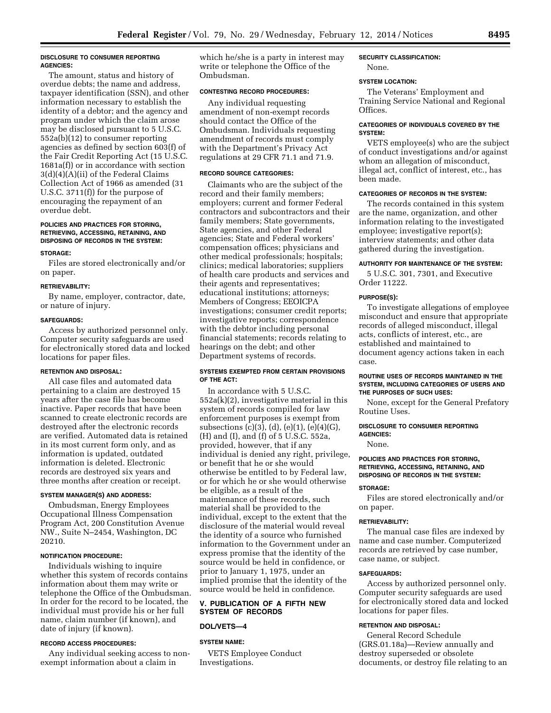# **DISCLOSURE TO CONSUMER REPORTING AGENCIES:**

The amount, status and history of overdue debts; the name and address, taxpayer identification (SSN), and other information necessary to establish the identity of a debtor; and the agency and program under which the claim arose may be disclosed pursuant to 5 U.S.C. 552a(b)(12) to consumer reporting agencies as defined by section 603(f) of the Fair Credit Reporting Act (15 U.S.C. 1681a(f)) or in accordance with section 3(d)(4)(A)(ii) of the Federal Claims Collection Act of 1966 as amended (31 U.S.C. 3711(f)) for the purpose of encouraging the repayment of an overdue debt.

# **POLICIES AND PRACTICES FOR STORING, RETRIEVING, ACCESSING, RETAINING, AND DISPOSING OF RECORDS IN THE SYSTEM:**

#### **STORAGE:**

Files are stored electronically and/or on paper.

#### **RETRIEVABILITY:**

By name, employer, contractor, date, or nature of injury.

#### **SAFEGUARDS:**

Access by authorized personnel only. Computer security safeguards are used for electronically stored data and locked locations for paper files.

# **RETENTION AND DISPOSAL:**

All case files and automated data pertaining to a claim are destroyed 15 years after the case file has become inactive. Paper records that have been scanned to create electronic records are destroyed after the electronic records are verified. Automated data is retained in its most current form only, and as information is updated, outdated information is deleted. Electronic records are destroyed six years and three months after creation or receipt.

#### **SYSTEM MANAGER(S) AND ADDRESS:**

Ombudsman, Energy Employees Occupational Illness Compensation Program Act, 200 Constitution Avenue NW., Suite N–2454, Washington, DC 20210.

#### **NOTIFICATION PROCEDURE:**

Individuals wishing to inquire whether this system of records contains information about them may write or telephone the Office of the Ombudsman. In order for the record to be located, the individual must provide his or her full name, claim number (if known), and date of injury (if known).

#### **RECORD ACCESS PROCEDURES:**

Any individual seeking access to nonexempt information about a claim in

which he/she is a party in interest may write or telephone the Office of the Ombudsman.

#### **CONTESTING RECORD PROCEDURES:**

Any individual requesting amendment of non-exempt records should contact the Office of the Ombudsman. Individuals requesting amendment of records must comply with the Department's Privacy Act regulations at 29 CFR 71.1 and 71.9.

# **RECORD SOURCE CATEGORIES:**

Claimants who are the subject of the record and their family members; employers; current and former Federal contractors and subcontractors and their family members; State governments, State agencies, and other Federal agencies; State and Federal workers' compensation offices; physicians and other medical professionals; hospitals; clinics; medical laboratories; suppliers of health care products and services and their agents and representatives; educational institutions; attorneys; Members of Congress; EEOICPA investigations; consumer credit reports; investigative reports; correspondence with the debtor including personal financial statements; records relating to hearings on the debt; and other Department systems of records.

# **SYSTEMS EXEMPTED FROM CERTAIN PROVISIONS OF THE ACT:**

In accordance with 5 U.S.C. 552a(k)(2), investigative material in this system of records compiled for law enforcement purposes is exempt from subsections (c)(3), (d), (e)(1), (e)(4)(G), (H) and (I), and (f) of 5 U.S.C. 552a, provided, however, that if any individual is denied any right, privilege, or benefit that he or she would otherwise be entitled to by Federal law, or for which he or she would otherwise be eligible, as a result of the maintenance of these records, such material shall be provided to the individual, except to the extent that the disclosure of the material would reveal the identity of a source who furnished information to the Government under an express promise that the identity of the source would be held in confidence, or prior to January 1, 1975, under an implied promise that the identity of the source would be held in confidence.

# **V. PUBLICATION OF A FIFTH NEW SYSTEM OF RECORDS**

#### **DOL/VETS—4**

#### **SYSTEM NAME:**

VETS Employee Conduct Investigations.

# **SECURITY CLASSIFICATION:**

None.

#### **SYSTEM LOCATION:**

The Veterans' Employment and Training Service National and Regional Offices.

# **CATEGORIES OF INDIVIDUALS COVERED BY THE SYSTEM:**

VETS employee(s) who are the subject of conduct investigations and/or against whom an allegation of misconduct, illegal act, conflict of interest, etc., has been made.

# **CATEGORIES OF RECORDS IN THE SYSTEM:**

The records contained in this system are the name, organization, and other information relating to the investigated employee; investigative report(s); interview statements; and other data gathered during the investigation.

# **AUTHORITY FOR MAINTENANCE OF THE SYSTEM:**

5 U.S.C. 301, 7301, and Executive Order 11222.

#### **PURPOSE(S):**

To investigate allegations of employee misconduct and ensure that appropriate records of alleged misconduct, illegal acts, conflicts of interest, etc., are established and maintained to document agency actions taken in each case.

#### **ROUTINE USES OF RECORDS MAINTAINED IN THE SYSTEM, INCLUDING CATEGORIES OF USERS AND THE PURPOSES OF SUCH USES:**

None, except for the General Prefatory Routine Uses.

# **DISCLOSURE TO CONSUMER REPORTING AGENCIES:**

None.

# **POLICIES AND PRACTICES FOR STORING, RETRIEVING, ACCESSING, RETAINING, AND DISPOSING OF RECORDS IN THE SYSTEM:**

#### **STORAGE:**

Files are stored electronically and/or on paper.

#### **RETRIEVABILITY:**

The manual case files are indexed by name and case number. Computerized records are retrieved by case number, case name, or subject.

# **SAFEGUARDS:**

Access by authorized personnel only. Computer security safeguards are used for electronically stored data and locked locations for paper files.

#### **RETENTION AND DISPOSAL:**

General Record Schedule (GRS.01.18a)—Review annually and destroy superseded or obsolete documents, or destroy file relating to an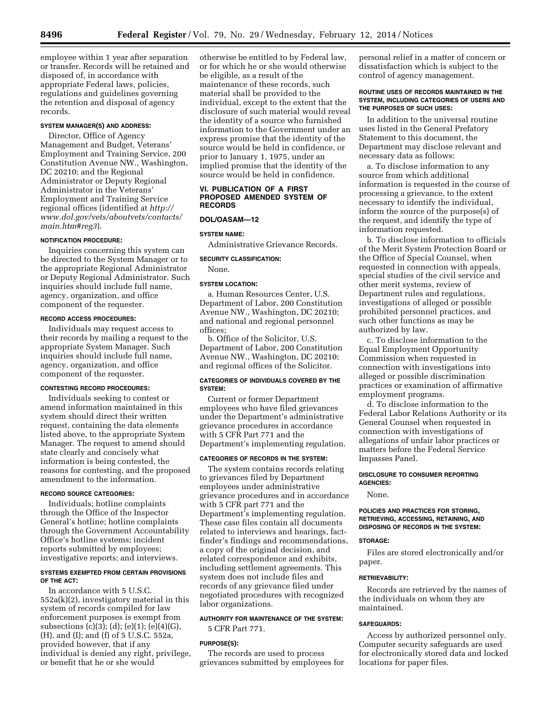employee within 1 year after separation or transfer. Records will be retained and disposed of, in accordance with appropriate Federal laws, policies, regulations and guidelines governing the retention and disposal of agency records.

# **SYSTEM MANAGER(S) AND ADDRESS:**

Director, Office of Agency Management and Budget, Veterans' Employment and Training Service, 200 Constitution Avenue NW., Washington, DC 20210; and the Regional Administrator or Deputy Regional Administrator in the Veterans' Employment and Training Service regional offices (identified at *[http://](http://www.dol.gov/vets/aboutvets/contacts/main.htm#reg3) [www.dol.gov/vets/aboutvets/contacts/](http://www.dol.gov/vets/aboutvets/contacts/main.htm#reg3) [main.htm#reg3](http://www.dol.gov/vets/aboutvets/contacts/main.htm#reg3)*).

#### **NOTIFICATION PROCEDURE:**

Inquiries concerning this system can be directed to the System Manager or to the appropriate Regional Administrator or Deputy Regional Administrator. Such inquiries should include full name, agency, organization, and office component of the requester.

# **RECORD ACCESS PROCEDURES:**

Individuals may request access to their records by mailing a request to the appropriate System Manager. Such inquiries should include full name, agency, organization, and office component of the requester.

#### **CONTESTING RECORD PROCEDURES:**

Individuals seeking to contest or amend information maintained in this system should direct their written request, containing the data elements listed above, to the appropriate System Manager. The request to amend should state clearly and concisely what information is being contested, the reasons for contesting, and the proposed amendment to the information.

# **RECORD SOURCE CATEGORIES:**

Individuals; hotline complaints through the Office of the Inspector General's hotline; hotline complaints through the Government Accountability Office's hotline systems; incident reports submitted by employees; investigative reports; and interviews.

#### **SYSTEMS EXEMPTED FROM CERTAIN PROVISIONS OF THE ACT:**

In accordance with 5 U.S.C. 552a(k)(2), investigatory material in this system of records compiled for law enforcement purposes is exempt from subsections (c)(3); (d); (e)(1); (e)(4)(G), (H), and (I); and (f) of 5 U.S.C. 552a, provided however, that if any individual is denied any right, privilege, or benefit that he or she would

otherwise be entitled to by Federal law, or for which he or she would otherwise be eligible, as a result of the maintenance of these records, such material shall be provided to the individual, except to the extent that the disclosure of such material would reveal the identity of a source who furnished information to the Government under an express promise that the identity of the source would be held in confidence, or prior to January 1, 1975, under an implied promise that the identity of the source would be held in confidence.

# **VI. PUBLICATION OF A FIRST PROPOSED AMENDED SYSTEM OF RECORDS**

# **DOL/OASAM—12**

# **SYSTEM NAME:**

Administrative Grievance Records.

# **SECURITY CLASSIFICATION:**

None.

# **SYSTEM LOCATION:**

a. Human Resources Center, U.S. Department of Labor, 200 Constitution Avenue NW., Washington, DC 20210; and national and regional personnel offices;

b. Office of the Solicitor, U.S. Department of Labor, 200 Constitution Avenue NW., Washington, DC 20210; and regional offices of the Solicitor.

# **CATEGORIES OF INDIVIDUALS COVERED BY THE SYSTEM:**

Current or former Department employees who have filed grievances under the Department's administrative grievance procedures in accordance with 5 CFR Part 771 and the Department's implementing regulation.

# **CATEGORIES OF RECORDS IN THE SYSTEM:**

The system contains records relating to grievances filed by Department employees under administrative grievance procedures and in accordance with 5 CFR part 771 and the Department's implementing regulation. These case files contain all documents related to interviews and hearings, factfinder's findings and recommendations, a copy of the original decision, and related correspondence and exhibits, including settlement agreements. This system does not include files and records of any grievance filed under negotiated procedures with recognized labor organizations.

# **AUTHORITY FOR MAINTENANCE OF THE SYSTEM:**

5 CFR Part 771.

#### **PURPOSE(S):**

The records are used to process grievances submitted by employees for personal relief in a matter of concern or dissatisfaction which is subject to the control of agency management.

#### **ROUTINE USES OF RECORDS MAINTAINED IN THE SYSTEM, INCLUDING CATEGORIES OF USERS AND THE PURPOSES OF SUCH USES:**

In addition to the universal routine uses listed in the General Prefatory Statement to this document, the Department may disclose relevant and necessary data as follows:

a. To disclose information to any source from which additional information is requested in the course of processing a grievance, to the extent necessary to identify the individual, inform the source of the purpose(s) of the request, and identify the type of information requested.

b. To disclose information to officials of the Merit System Protection Board or the Office of Special Counsel, when requested in connection with appeals, special studies of the civil service and other merit systems, review of Department rules and regulations, investigations of alleged or possible prohibited personnel practices, and such other functions as may be authorized by law.

c. To disclose information to the Equal Employment Opportunity Commission when requested in connection with investigations into alleged or possible discrimination practices or examination of affirmative employment programs.

d. To disclose information to the Federal Labor Relations Authority or its General Counsel when requested in connection with investigations of allegations of unfair labor practices or matters before the Federal Service Impasses Panel.

#### **DISCLOSURE TO CONSUMER REPORTING AGENCIES:**

None.

# **POLICIES AND PRACTICES FOR STORING, RETRIEVING, ACCESSING, RETAINING, AND DISPOSING OF RECORDS IN THE SYSTEM:**

#### **STORAGE:**

Files are stored electronically and/or paper.

#### **RETRIEVABILITY:**

Records are retrieved by the names of the individuals on whom they are maintained.

#### **SAFEGUARDS:**

Access by authorized personnel only. Computer security safeguards are used for electronically stored data and locked locations for paper files.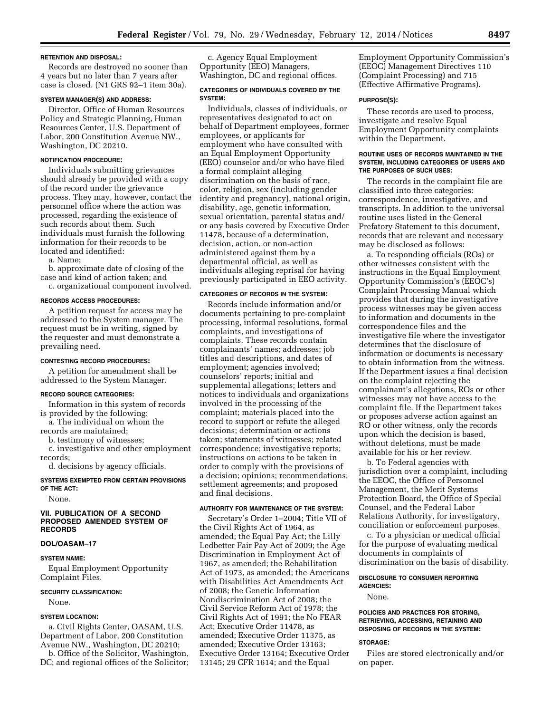#### **RETENTION AND DISPOSAL:**

Records are destroyed no sooner than 4 years but no later than 7 years after case is closed. (N1 GRS 92–1 item 30a).

# **SYSTEM MANAGER(S) AND ADDRESS:**

Director, Office of Human Resources Policy and Strategic Planning, Human Resources Center, U.S. Department of Labor, 200 Constitution Avenue NW., Washington, DC 20210.

#### **NOTIFICATION PROCEDURE:**

Individuals submitting grievances should already be provided with a copy of the record under the grievance process. They may, however, contact the personnel office where the action was processed, regarding the existence of such records about them. Such individuals must furnish the following information for their records to be located and identified:

a. Name;

b. approximate date of closing of the case and kind of action taken; and c. organizational component involved.

#### **RECORDS ACCESS PROCEDURES:**

A petition request for access may be addressed to the System manager. The request must be in writing, signed by the requester and must demonstrate a prevailing need.

#### **CONTESTING RECORD PROCEDURES:**

A petition for amendment shall be addressed to the System Manager.

# **RECORD SOURCE CATEGORIES:**

Information in this system of records is provided by the following:

a. The individual on whom the records are maintained;

b. testimony of witnesses;

c. investigative and other employment records;

d. decisions by agency officials.

**SYSTEMS EXEMPTED FROM CERTAIN PROVISIONS OF THE ACT:** 

None.

# **VII. PUBLICATION OF A SECOND PROPOSED AMENDED SYSTEM OF RECORDS**

# **DOL/OASAM–17**

# **SYSTEM NAME:**

Equal Employment Opportunity Complaint Files.

#### **SECURITY CLASSIFICATION:**

None.

#### **SYSTEM LOCATION:**

a. Civil Rights Center, OASAM, U.S. Department of Labor, 200 Constitution Avenue NW., Washington, DC 20210; b. Office of the Solicitor, Washington,

DC; and regional offices of the Solicitor;

c. Agency Equal Employment Opportunity (EEO) Managers, Washington, DC and regional offices.

### **CATEGORIES OF INDIVIDUALS COVERED BY THE SYSTEM:**

Individuals, classes of individuals, or representatives designated to act on behalf of Department employees, former employees, or applicants for employment who have consulted with an Equal Employment Opportunity (EEO) counselor and/or who have filed a formal complaint alleging discrimination on the basis of race, color, religion, sex (including gender identity and pregnancy), national origin, disability, age, genetic information, sexual orientation, parental status and/ or any basis covered by Executive Order 11478, because of a determination, decision, action, or non-action administered against them by a departmental official, as well as individuals alleging reprisal for having previously participated in EEO activity.

#### **CATEGORIES OF RECORDS IN THE SYSTEM:**

Records include information and/or documents pertaining to pre-complaint processing, informal resolutions, formal complaints, and investigations of complaints. These records contain complainants' names; addresses; job titles and descriptions, and dates of employment; agencies involved; counselors' reports; initial and supplemental allegations; letters and notices to individuals and organizations involved in the processing of the complaint; materials placed into the record to support or refute the alleged decisions; determination or actions taken; statements of witnesses; related correspondence; investigative reports; instructions on actions to be taken in order to comply with the provisions of a decision; opinions; recommendations; settlement agreements; and proposed and final decisions.

#### **AUTHORITY FOR MAINTENANCE OF THE SYSTEM:**

Secretary's Order 1–2004; Title VII of the Civil Rights Act of 1964, as amended; the Equal Pay Act; the Lilly Ledbetter Fair Pay Act of 2009; the Age Discrimination in Employment Act of 1967, as amended; the Rehabilitation Act of 1973, as amended; the Americans with Disabilities Act Amendments Act of 2008; the Genetic Information Nondiscrimination Act of 2008; the Civil Service Reform Act of 1978; the Civil Rights Act of 1991; the No FEAR Act; Executive Order 11478, as amended; Executive Order 11375, as amended; Executive Order 13163; Executive Order 13164; Executive Order 13145; 29 CFR 1614; and the Equal

Employment Opportunity Commission's (EEOC) Management Directives 110 (Complaint Processing) and 715 (Effective Affirmative Programs).

#### **PURPOSE(S):**

These records are used to process, investigate and resolve Equal Employment Opportunity complaints within the Department.

#### **ROUTINE USES OF RECORDS MAINTAINED IN THE SYSTEM, INCLUDING CATEGORIES OF USERS AND THE PURPOSES OF SUCH USES:**

The records in the complaint file are classified into three categories: correspondence, investigative, and transcripts. In addition to the universal routine uses listed in the General Prefatory Statement to this document, records that are relevant and necessary may be disclosed as follows:

a. To responding officials (ROs) or other witnesses consistent with the instructions in the Equal Employment Opportunity Commission's (EEOC's) Complaint Processing Manual which provides that during the investigative process witnesses may be given access to information and documents in the correspondence files and the investigative file where the investigator determines that the disclosure of information or documents is necessary to obtain information from the witness. If the Department issues a final decision on the complaint rejecting the complainant's allegations, ROs or other witnesses may not have access to the complaint file. If the Department takes or proposes adverse action against an RO or other witness, only the records upon which the decision is based, without deletions, must be made available for his or her review.

b. To Federal agencies with jurisdiction over a complaint, including the EEOC, the Office of Personnel Management, the Merit Systems Protection Board, the Office of Special Counsel, and the Federal Labor Relations Authority, for investigatory, conciliation or enforcement purposes.

c. To a physician or medical official for the purpose of evaluating medical documents in complaints of discrimination on the basis of disability.

# **DISCLOSURE TO CONSUMER REPORTING AGENCIES:**

None.

#### **POLICIES AND PRACTICES FOR STORING, RETRIEVING, ACCESSING, RETAINING AND DISPOSING OF RECORDS IN THE SYSTEM:**

#### **STORAGE:**

Files are stored electronically and/or on paper.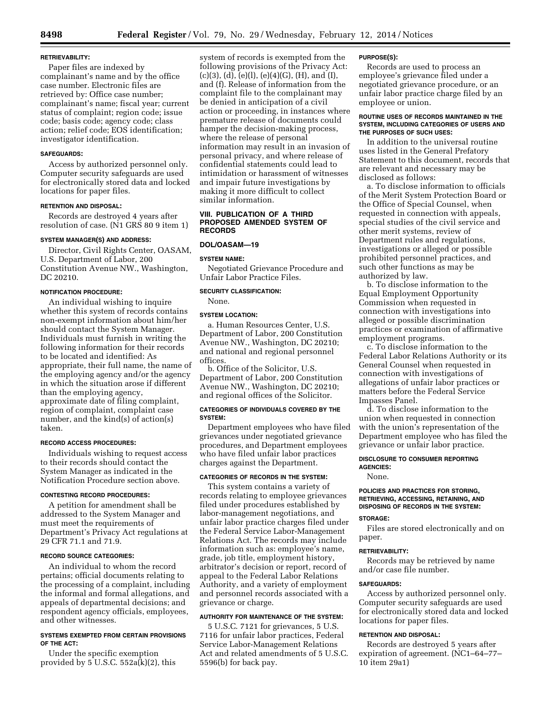# **RETRIEVABILITY:**

Paper files are indexed by complainant's name and by the office case number. Electronic files are retrieved by: Office case number; complainant's name; fiscal year; current status of complaint; region code; issue code; basis code; agency code; class action; relief code; EOS identification; investigator identification.

#### **SAFEGUARDS:**

Access by authorized personnel only. Computer security safeguards are used for electronically stored data and locked locations for paper files.

#### **RETENTION AND DISPOSAL:**

Records are destroyed 4 years after resolution of case. (N1 GRS 80 9 item 1)

#### **SYSTEM MANAGER(S) AND ADDRESS:**

Director, Civil Rights Center, OASAM, U.S. Department of Labor, 200 Constitution Avenue NW., Washington, DC 20210.

# **NOTIFICATION PROCEDURE:**

An individual wishing to inquire whether this system of records contains non-exempt information about him/her should contact the System Manager. Individuals must furnish in writing the following information for their records to be located and identified: As appropriate, their full name, the name of the employing agency and/or the agency in which the situation arose if different than the employing agency, approximate date of filing complaint, region of complaint, complaint case number, and the kind(s) of action(s) taken.

#### **RECORD ACCESS PROCEDURES:**

Individuals wishing to request access to their records should contact the System Manager as indicated in the Notification Procedure section above.

#### **CONTESTING RECORD PROCEDURES:**

A petition for amendment shall be addressed to the System Manager and must meet the requirements of Department's Privacy Act regulations at 29 CFR 71.1 and 71.9.

#### **RECORD SOURCE CATEGORIES:**

An individual to whom the record pertains; official documents relating to the processing of a complaint, including the informal and formal allegations, and appeals of departmental decisions; and respondent agency officials, employees, and other witnesses.

# **SYSTEMS EXEMPTED FROM CERTAIN PROVISIONS OF THE ACT:**

Under the specific exemption provided by 5 U.S.C. 552a(k)(2), this

system of records is exempted from the following provisions of the Privacy Act:  $(c)(3)$ ,  $(d)$ ,  $(e)(1)$ ,  $(e)(4)(G)$ ,  $(H)$ , and  $(I)$ , and (f). Release of information from the complaint file to the complainant may be denied in anticipation of a civil action or proceeding, in instances where premature release of documents could hamper the decision-making process, where the release of personal information may result in an invasion of personal privacy, and where release of confidential statements could lead to intimidation or harassment of witnesses and impair future investigations by making it more difficult to collect similar information.

#### **VIII. PUBLICATION OF A THIRD PROPOSED AMENDED SYSTEM OF RECORDS**

# **DOL/OASAM—19**

#### **SYSTEM NAME:**

Negotiated Grievance Procedure and Unfair Labor Practice Files.

# **SECURITY CLASSIFICATION:**

None.

#### **SYSTEM LOCATION:**

a. Human Resources Center, U.S. Department of Labor, 200 Constitution Avenue NW., Washington, DC 20210; and national and regional personnel offices.

b. Office of the Solicitor, U.S. Department of Labor, 200 Constitution Avenue NW., Washington, DC 20210; and regional offices of the Solicitor.

# **CATEGORIES OF INDIVIDUALS COVERED BY THE SYSTEM:**

Department employees who have filed grievances under negotiated grievance procedures, and Department employees who have filed unfair labor practices charges against the Department.

#### **CATEGORIES OF RECORDS IN THE SYSTEM:**

This system contains a variety of records relating to employee grievances filed under procedures established by labor-management negotiations, and unfair labor practice charges filed under the Federal Service Labor-Management Relations Act. The records may include information such as: employee's name, grade, job title, employment history, arbitrator's decision or report, record of appeal to the Federal Labor Relations Authority, and a variety of employment and personnel records associated with a grievance or charge.

# **AUTHORITY FOR MAINTENANCE OF THE SYSTEM:**

5 U.S.C. 7121 for grievances, 5 U.S. 7116 for unfair labor practices, Federal Service Labor-Management Relations Act and related amendments of 5 U.S.C. 5596(b) for back pay.

#### **PURPOSE(S):**

Records are used to process an employee's grievance filed under a negotiated grievance procedure, or an unfair labor practice charge filed by an employee or union.

#### **ROUTINE USES OF RECORDS MAINTAINED IN THE SYSTEM, INCLUDING CATEGORIES OF USERS AND THE PURPOSES OF SUCH USES:**

In addition to the universal routine uses listed in the General Prefatory Statement to this document, records that are relevant and necessary may be disclosed as follows:

a. To disclose information to officials of the Merit System Protection Board or the Office of Special Counsel, when requested in connection with appeals, special studies of the civil service and other merit systems, review of Department rules and regulations, investigations or alleged or possible prohibited personnel practices, and such other functions as may be authorized by law.

b. To disclose information to the Equal Employment Opportunity Commission when requested in connection with investigations into alleged or possible discrimination practices or examination of affirmative employment programs.

c. To disclose information to the Federal Labor Relations Authority or its General Counsel when requested in connection with investigations of allegations of unfair labor practices or matters before the Federal Service Impasses Panel.

d. To disclose information to the union when requested in connection with the union's representation of the Department employee who has filed the grievance or unfair labor practice.

# **DISCLOSURE TO CONSUMER REPORTING AGENCIES:**

None.

# **POLICIES AND PRACTICES FOR STORING, RETRIEVING, ACCESSING, RETAINING, AND DISPOSING OF RECORDS IN THE SYSTEM:**

# **STORAGE:**

Files are stored electronically and on paper.

#### **RETRIEVABILITY:**

Records may be retrieved by name and/or case file number.

#### **SAFEGUARDS:**

Access by authorized personnel only. Computer security safeguards are used for electronically stored data and locked locations for paper files.

# **RETENTION AND DISPOSAL:**

Records are destroyed 5 years after expiration of agreement. (NC1–64–77– 10 item 29a1)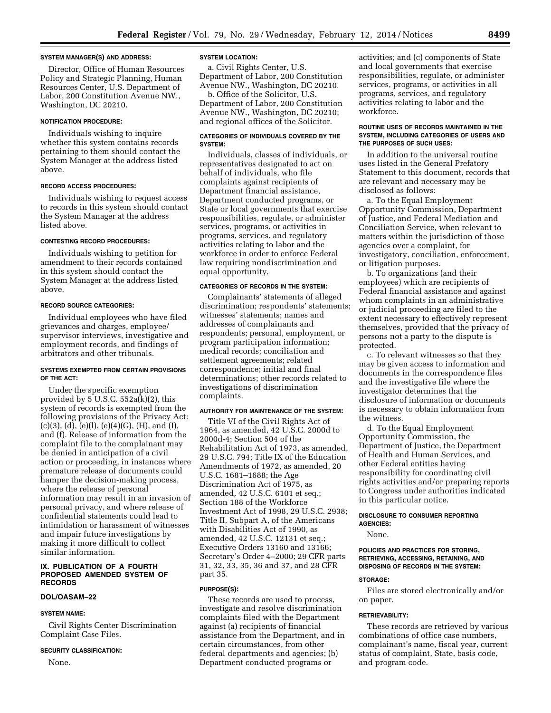#### **SYSTEM MANAGER(S) AND ADDRESS:**

Director, Office of Human Resources Policy and Strategic Planning, Human Resources Center, U.S. Department of Labor, 200 Constitution Avenue NW., Washington, DC 20210.

#### **NOTIFICATION PROCEDURE:**

Individuals wishing to inquire whether this system contains records pertaining to them should contact the System Manager at the address listed above.

#### **RECORD ACCESS PROCEDURES:**

Individuals wishing to request access to records in this system should contact the System Manager at the address listed above.

# **CONTESTING RECORD PROCEDURES:**

Individuals wishing to petition for amendment to their records contained in this system should contact the System Manager at the address listed above.

# **RECORD SOURCE CATEGORIES:**

Individual employees who have filed grievances and charges, employee/ supervisor interviews, investigative and employment records, and findings of arbitrators and other tribunals.

# **SYSTEMS EXEMPTED FROM CERTAIN PROVISIONS OF THE ACT:**

Under the specific exemption provided by  $5$  U.S.C.  $552a(k)(2)$ , this system of records is exempted from the following provisions of the Privacy Act:  $(c)(3)$ ,  $(d)$ ,  $(e)(1)$ ,  $(e)(4)(G)$ ,  $(H)$ , and  $(I)$ , and (f). Release of information from the complaint file to the complainant may be denied in anticipation of a civil action or proceeding, in instances where premature release of documents could hamper the decision-making process, where the release of personal information may result in an invasion of personal privacy, and where release of confidential statements could lead to intimidation or harassment of witnesses and impair future investigations by making it more difficult to collect similar information.

#### **IX. PUBLICATION OF A FOURTH PROPOSED AMENDED SYSTEM OF RECORDS**

#### **DOL/OASAM–22**

# **SYSTEM NAME:**

Civil Rights Center Discrimination Complaint Case Files.

#### **SECURITY CLASSIFICATION:**

None.

#### **SYSTEM LOCATION:**

a. Civil Rights Center, U.S. Department of Labor, 200 Constitution Avenue NW., Washington, DC 20210.

b. Office of the Solicitor, U.S. Department of Labor, 200 Constitution Avenue NW., Washington, DC 20210; and regional offices of the Solicitor.

# **CATEGORIES OF INDIVIDUALS COVERED BY THE SYSTEM:**

Individuals, classes of individuals, or representatives designated to act on behalf of individuals, who file complaints against recipients of Department financial assistance, Department conducted programs, or State or local governments that exercise responsibilities, regulate, or administer services, programs, or activities in programs, services, and regulatory activities relating to labor and the workforce in order to enforce Federal law requiring nondiscrimination and equal opportunity.

#### **CATEGORIES OF RECORDS IN THE SYSTEM:**

Complainants' statements of alleged discrimination; respondents' statements; witnesses' statements; names and addresses of complainants and respondents; personal, employment, or program participation information; medical records; conciliation and settlement agreements; related correspondence; initial and final determinations; other records related to investigations of discrimination complaints.

# **AUTHORITY FOR MAINTENANCE OF THE SYSTEM:**

Title VI of the Civil Rights Act of 1964, as amended, 42 U.S.C. 2000d to 2000d-4; Section 504 of the Rehabilitation Act of 1973, as amended, 29 U.S.C. 794; Title IX of the Education Amendments of 1972, as amended, 20 U.S.C. 1681–1688; the Age Discrimination Act of 1975, as amended, 42 U.S.C. 6101 et seq.; Section 188 of the Workforce Investment Act of 1998, 29 U.S.C. 2938; Title II, Subpart A, of the Americans with Disabilities Act of 1990, as amended, 42 U.S.C. 12131 et seq.; Executive Orders 13160 and 13166; Secretary's Order 4–2000; 29 CFR parts 31, 32, 33, 35, 36 and 37, and 28 CFR part 35.

#### **PURPOSE(S):**

These records are used to process, investigate and resolve discrimination complaints filed with the Department against (a) recipients of financial assistance from the Department, and in certain circumstances, from other federal departments and agencies; (b) Department conducted programs or

activities; and (c) components of State and local governments that exercise responsibilities, regulate, or administer services, programs, or activities in all programs, services, and regulatory activities relating to labor and the workforce.

#### **ROUTINE USES OF RECORDS MAINTAINED IN THE SYSTEM, INCLUDING CATEGORIES OF USERS AND THE PURPOSES OF SUCH USES:**

In addition to the universal routine uses listed in the General Prefatory Statement to this document, records that are relevant and necessary may be disclosed as follows:

a. To the Equal Employment Opportunity Commission, Department of Justice, and Federal Mediation and Conciliation Service, when relevant to matters within the jurisdiction of those agencies over a complaint, for investigatory, conciliation, enforcement, or litigation purposes.

b. To organizations (and their employees) which are recipients of Federal financial assistance and against whom complaints in an administrative or judicial proceeding are filed to the extent necessary to effectively represent themselves, provided that the privacy of persons not a party to the dispute is protected.

c. To relevant witnesses so that they may be given access to information and documents in the correspondence files and the investigative file where the investigator determines that the disclosure of information or documents is necessary to obtain information from the witness.

d. To the Equal Employment Opportunity Commission, the Department of Justice, the Department of Health and Human Services, and other Federal entities having responsibility for coordinating civil rights activities and/or preparing reports to Congress under authorities indicated in this particular notice.

# **DISCLOSURE TO CONSUMER REPORTING AGENCIES:**

# None.

#### **POLICIES AND PRACTICES FOR STORING, RETRIEVING, ACCESSING, RETAINING, AND DISPOSING OF RECORDS IN THE SYSTEM:**

# **STORAGE:**

Files are stored electronically and/or on paper.

#### **RETRIEVABILITY:**

These records are retrieved by various combinations of office case numbers, complainant's name, fiscal year, current status of complaint, State, basis code, and program code.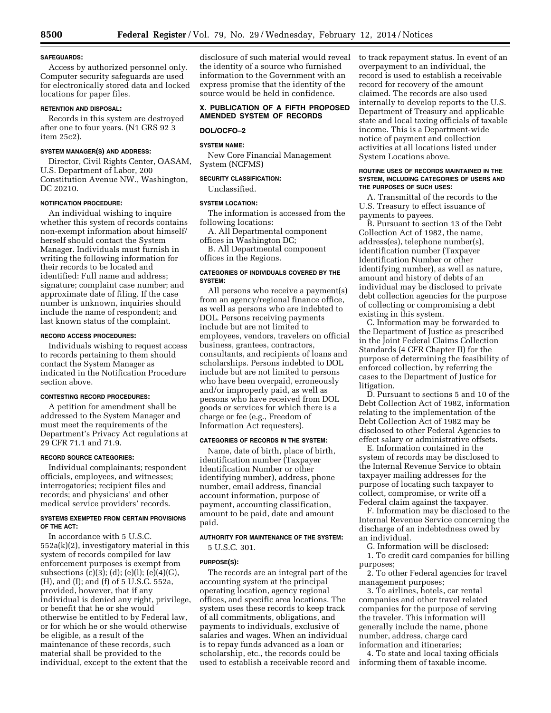#### **SAFEGUARDS:**

Access by authorized personnel only. Computer security safeguards are used for electronically stored data and locked locations for paper files.

# **RETENTION AND DISPOSAL:**

Records in this system are destroyed after one to four years. (N1 GRS 92 3 item 25c2).

#### **SYSTEM MANAGER(S) AND ADDRESS:**

Director, Civil Rights Center, OASAM, U.S. Department of Labor, 200 Constitution Avenue NW., Washington, DC 20210.

# **NOTIFICATION PROCEDURE:**

An individual wishing to inquire whether this system of records contains non-exempt information about himself/ herself should contact the System Manager. Individuals must furnish in writing the following information for their records to be located and identified: Full name and address; signature; complaint case number; and approximate date of filing. If the case number is unknown, inquiries should include the name of respondent; and last known status of the complaint.

# **RECORD ACCESS PROCEDURES:**

Individuals wishing to request access to records pertaining to them should contact the System Manager as indicated in the Notification Procedure section above.

# **CONTESTING RECORD PROCEDURES:**

A petition for amendment shall be addressed to the System Manager and must meet the requirements of the Department's Privacy Act regulations at 29 CFR 71.1 and 71.9.

#### **RECORD SOURCE CATEGORIES:**

Individual complainants; respondent officials, employees, and witnesses; interrogatories; recipient files and records; and physicians' and other medical service providers' records.

### **SYSTEMS EXEMPTED FROM CERTAIN PROVISIONS OF THE ACT:**

In accordance with 5 U.S.C. 552a(k)(2), investigatory material in this system of records compiled for law enforcement purposes is exempt from subsections (c)(3); (d); (e)(l); (e)(4)(G), (H), and (I); and (f) of 5 U.S.C. 552a, provided, however, that if any individual is denied any right, privilege, or benefit that he or she would otherwise be entitled to by Federal law, or for which he or she would otherwise be eligible, as a result of the maintenance of these records, such material shall be provided to the individual, except to the extent that the

disclosure of such material would reveal the identity of a source who furnished information to the Government with an express promise that the identity of the source would be held in confidence.

# **X. PUBLICATION OF A FIFTH PROPOSED AMENDED SYSTEM OF RECORDS**

# **DOL/OCFO–2**

# **SYSTEM NAME:**

New Core Financial Management System (NCFMS)

# **SECURITY CLASSIFICATION:**

# Unclassified.

# **SYSTEM LOCATION:**

The information is accessed from the following locations:

A. All Departmental component offices in Washington DC;

B. All Departmental component offices in the Regions.

#### **CATEGORIES OF INDIVIDUALS COVERED BY THE SYSTEM:**

All persons who receive a payment(s) from an agency/regional finance office, as well as persons who are indebted to DOL. Persons receiving payments include but are not limited to employees, vendors, travelers on official business, grantees, contractors, consultants, and recipients of loans and scholarships. Persons indebted to DOL include but are not limited to persons who have been overpaid, erroneously and/or improperly paid, as well as persons who have received from DOL goods or services for which there is a charge or fee (e.g., Freedom of Information Act requesters).

#### **CATEGORIES OF RECORDS IN THE SYSTEM:**

Name, date of birth, place of birth, identification number (Taxpayer Identification Number or other identifying number), address, phone number, email address, financial account information, purpose of payment, accounting classification, amount to be paid, date and amount paid.

# **AUTHORITY FOR MAINTENANCE OF THE SYSTEM:**  5 U.S.C. 301.

# **PURPOSE(S):**

The records are an integral part of the accounting system at the principal operating location, agency regional offices, and specific area locations. The system uses these records to keep track of all commitments, obligations, and payments to individuals, exclusive of salaries and wages. When an individual is to repay funds advanced as a loan or scholarship, etc., the records could be used to establish a receivable record and to track repayment status. In event of an overpayment to an individual, the record is used to establish a receivable record for recovery of the amount claimed. The records are also used internally to develop reports to the U.S. Department of Treasury and applicable state and local taxing officials of taxable income. This is a Department-wide notice of payment and collection activities at all locations listed under System Locations above.

#### **ROUTINE USES OF RECORDS MAINTAINED IN THE SYSTEM, INCLUDING CATEGORIES OF USERS AND THE PURPOSES OF SUCH USES:**

A. Transmittal of the records to the U.S. Treasury to effect issuance of payments to payees.

B. Pursuant to section 13 of the Debt Collection Act of 1982, the name, address(es), telephone number(s), identification number (Taxpayer Identification Number or other identifying number), as well as nature, amount and history of debts of an individual may be disclosed to private debt collection agencies for the purpose of collecting or compromising a debt existing in this system.

C. Information may be forwarded to the Department of Justice as prescribed in the Joint Federal Claims Collection Standards (4 CFR Chapter II) for the purpose of determining the feasibility of enforced collection, by referring the cases to the Department of Justice for litigation.

D. Pursuant to sections 5 and 10 of the Debt Collection Act of 1982, information relating to the implementation of the Debt Collection Act of 1982 may be disclosed to other Federal Agencies to effect salary or administrative offsets.

E. Information contained in the system of records may be disclosed to the Internal Revenue Service to obtain taxpayer mailing addresses for the purpose of locating such taxpayer to collect, compromise, or write off a Federal claim against the taxpayer.

F. Information may be disclosed to the Internal Revenue Service concerning the discharge of an indebtedness owed by an individual.

G. Information will be disclosed:

1. To credit card companies for billing purposes;

2. To other Federal agencies for travel management purposes;

3. To airlines, hotels, car rental companies and other travel related companies for the purpose of serving the traveler. This information will generally include the name, phone number, address, charge card information and itineraries;

4. To state and local taxing officials informing them of taxable income.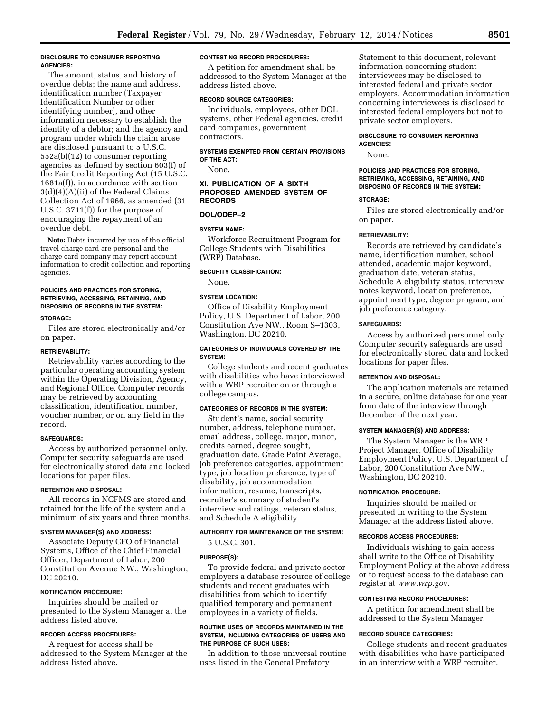# **DISCLOSURE TO CONSUMER REPORTING AGENCIES:**

The amount, status, and history of overdue debts; the name and address, identification number (Taxpayer Identification Number or other identifying number), and other information necessary to establish the identity of a debtor; and the agency and program under which the claim arose are disclosed pursuant to 5 U.S.C. 552a(b)(12) to consumer reporting agencies as defined by section 603(f) of the Fair Credit Reporting Act (15 U.S.C. 1681a(f)), in accordance with section 3(d)(4)(A)(ii) of the Federal Claims Collection Act of 1966, as amended (31 U.S.C. 3711(f)) for the purpose of encouraging the repayment of an overdue debt.

**Note:** Debts incurred by use of the official travel charge card are personal and the charge card company may report account information to credit collection and reporting agencies.

#### **POLICIES AND PRACTICES FOR STORING, RETRIEVING, ACCESSING, RETAINING, AND DISPOSING OF RECORDS IN THE SYSTEM:**

#### **STORAGE:**

Files are stored electronically and/or on paper.

#### **RETRIEVABILITY:**

Retrievability varies according to the particular operating accounting system within the Operating Division, Agency, and Regional Office. Computer records may be retrieved by accounting classification, identification number, voucher number, or on any field in the record.

#### **SAFEGUARDS:**

Access by authorized personnel only. Computer security safeguards are used for electronically stored data and locked locations for paper files.

# **RETENTION AND DISPOSAL:**

All records in NCFMS are stored and retained for the life of the system and a minimum of six years and three months.

#### **SYSTEM MANAGER(S) AND ADDRESS:**

Associate Deputy CFO of Financial Systems, Office of the Chief Financial Officer, Department of Labor, 200 Constitution Avenue NW., Washington, DC 20210.

# **NOTIFICATION PROCEDURE:**

Inquiries should be mailed or presented to the System Manager at the address listed above.

# **RECORD ACCESS PROCEDURES:**

A request for access shall be addressed to the System Manager at the address listed above.

#### **CONTESTING RECORD PROCEDURES:**

A petition for amendment shall be addressed to the System Manager at the address listed above.

# **RECORD SOURCE CATEGORIES:**

Individuals, employees, other DOL systems, other Federal agencies, credit card companies, government contractors.

#### **SYSTEMS EXEMPTED FROM CERTAIN PROVISIONS OF THE ACT:**

None.

# **XI. PUBLICATION OF A SIXTH PROPOSED AMENDED SYSTEM OF RECORDS**

# **DOL/ODEP–2**

#### **SYSTEM NAME:**

Workforce Recruitment Program for College Students with Disabilities (WRP) Database.

#### **SECURITY CLASSIFICATION:**

None.

# **SYSTEM LOCATION:**

Office of Disability Employment Policy, U.S. Department of Labor, 200 Constitution Ave NW., Room S–1303, Washington, DC 20210.

#### **CATEGORIES OF INDIVIDUALS COVERED BY THE SYSTEM:**

College students and recent graduates with disabilities who have interviewed with a WRP recruiter on or through a college campus.

# **CATEGORIES OF RECORDS IN THE SYSTEM:**

Student's name, social security number, address, telephone number, email address, college, major, minor, credits earned, degree sought, graduation date, Grade Point Average, job preference categories, appointment type, job location preference, type of disability, job accommodation information, resume, transcripts, recruiter's summary of student's interview and ratings, veteran status, and Schedule A eligibility.

# **AUTHORITY FOR MAINTENANCE OF THE SYSTEM:**

5 U.S.C. 301.

#### **PURPOSE(S):**

To provide federal and private sector employers a database resource of college students and recent graduates with disabilities from which to identify qualified temporary and permanent employees in a variety of fields.

#### **ROUTINE USES OF RECORDS MAINTAINED IN THE SYSTEM, INCLUDING CATEGORIES OF USERS AND THE PURPOSE OF SUCH USES:**

In addition to those universal routine uses listed in the General Prefatory

Statement to this document, relevant information concerning student interviewees may be disclosed to interested federal and private sector employers. Accommodation information concerning interviewees is disclosed to interested federal employers but not to private sector employers.

#### **DISCLOSURE TO CONSUMER REPORTING AGENCIES:**

None.

# **POLICIES AND PRACTICES FOR STORING, RETRIEVING, ACCESSING, RETAINING, AND DISPOSING OF RECORDS IN THE SYSTEM:**

#### **STORAGE:**

Files are stored electronically and/or on paper.

#### **RETRIEVABILITY:**

Records are retrieved by candidate's name, identification number, school attended, academic major keyword, graduation date, veteran status, Schedule A eligibility status, interview notes keyword, location preference, appointment type, degree program, and job preference category.

#### **SAFEGUARDS:**

Access by authorized personnel only. Computer security safeguards are used for electronically stored data and locked locations for paper files.

#### **RETENTION AND DISPOSAL:**

The application materials are retained in a secure, online database for one year from date of the interview through December of the next year.

# **SYSTEM MANAGER(S) AND ADDRESS:**

The System Manager is the WRP Project Manager, Office of Disability Employment Policy, U.S. Department of Labor, 200 Constitution Ave NW., Washington, DC 20210.

#### **NOTIFICATION PROCEDURE:**

Inquiries should be mailed or presented in writing to the System Manager at the address listed above.

#### **RECORDS ACCESS PROCEDURES:**

Individuals wishing to gain access shall write to the Office of Disability Employment Policy at the above address or to request access to the database can register at *[www.wrp.gov.](http://www.wrp.gov)* 

#### **CONTESTING RECORD PROCEDURES:**

A petition for amendment shall be addressed to the System Manager.

#### **RECORD SOURCE CATEGORIES:**

College students and recent graduates with disabilities who have participated in an interview with a WRP recruiter.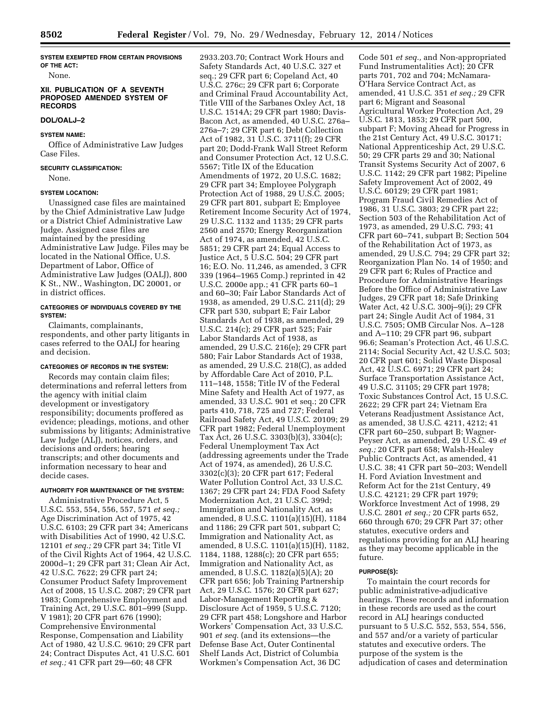**SYSTEM EXEMPTED FROM CERTAIN PROVISIONS OF THE ACT:** 

None.

#### **XII. PUBLICATION OF A SEVENTH PROPOSED AMENDED SYSTEM OF RECORDS**

# **DOL/OALJ–2**

# **SYSTEM NAME:**

Office of Administrative Law Judges Case Files.

# **SECURITY CLASSIFICATION:**

None.

# **SYSTEM LOCATION:**

Unassigned case files are maintained by the Chief Administrative Law Judge or a District Chief Administrative Law Judge. Assigned case files are maintained by the presiding Administrative Law Judge. Files may be located in the National Office, U.S. Department of Labor, Office of Administrative Law Judges (OALJ), 800 K St., NW., Washington, DC 20001, or in district offices.

# **CATEGORIES OF INDIVIDUALS COVERED BY THE SYSTEM:**

Claimants, complainants, respondents, and other party litigants in cases referred to the OALJ for hearing and decision.

# **CATEGORIES OF RECORDS IN THE SYSTEM:**

Records may contain claim files; determinations and referral letters from the agency with initial claim development or investigatory responsibility; documents proffered as evidence; pleadings, motions, and other submissions by litigants; Administrative Law Judge (ALJ), notices, orders, and decisions and orders; hearing transcripts; and other documents and information necessary to hear and decide cases.

# **AUTHORITY FOR MAINTENANCE OF THE SYSTEM:**

Administrative Procedure Act, 5 U.S.C. 553, 554, 556, 557, 571 *et seq.;*  Age Discrimination Act of 1975, 42 U.S.C. 6103; 29 CFR part 34; Americans with Disabilities Act of 1990, 42 U.S.C. 12101 *et seq.;* 29 CFR part 34; Title VI of the Civil Rights Act of 1964, 42 U.S.C. 2000d–1; 29 CFR part 31; Clean Air Act, 42 U.S.C. 7622; 29 CFR part 24; Consumer Product Safety Improvement Act of 2008, 15 U.S.C. 2087; 29 CFR part 1983; Comprehensive Employment and Training Act, 29 U.S.C. 801–999 (Supp. V 1981); 20 CFR part 676 (1990); Comprehensive Environmental Response, Compensation and Liability Act of 1980, 42 U.S.C. 9610; 29 CFR part 24; Contract Disputes Act, 41 U.S.C. 601 *et seq.;* 41 CFR part 29—60; 48 CFR

2933.203.70; Contract Work Hours and Safety Standards Act, 40 U.S.C. 327 et seq.; 29 CFR part 6; Copeland Act, 40 U.S.C. 276c; 29 CFR part 6; Corporate and Criminal Fraud Accountability Act, Title VIII of the Sarbanes Oxley Act, 18 U.S.C. 1514A; 29 CFR part 1980; Davis-Bacon Act, as amended, 40 U.S.C. 276a– 276a–7; 29 CFR part 6; Debt Collection Act of 1982, 31 U.S.C. 3711(f); 29 CFR part 20; Dodd-Frank Wall Street Reform and Consumer Protection Act, 12 U.S.C. 5567; Title IX of the Education Amendments of 1972, 20 U.S.C. 1682; 29 CFR part 34; Employee Polygraph Protection Act of 1988, 29 U.S.C. 2005; 29 CFR part 801, subpart E; Employee Retirement Income Security Act of 1974, 29 U.S.C. 1132 and 1135; 29 CFR parts 2560 and 2570; Energy Reorganization Act of 1974, as amended, 42 U.S.C. 5851; 29 CFR part 24; Equal Access to Justice Act, 5 U.S.C. 504; 29 CFR part 16; E.O. No. 11,246, as amended, 3 CFR 339 (1964–1965 Comp.) reprinted in 42 U.S.C. 2000e app.; 41 CFR parts 60–1 and 60–30; Fair Labor Standards Act of 1938, as amended, 29 U.S.C. 211(d); 29 CFR part 530, subpart E; Fair Labor Standards Act of 1938, as amended, 29 U.S.C. 214(c); 29 CFR part 525; Fair Labor Standards Act of 1938, as amended, 29 U.S.C. 216(e); 29 CFR part 580; Fair Labor Standards Act of 1938, as amended, 29 U.S.C. 218(C), as added by Affordable Care Act of 2010, P.L. 111–148, 1558; Title IV of the Federal Mine Safety and Health Act of 1977, as amended, 33 U.S.C. 901 et seq.; 20 CFR parts 410, 718, 725 and 727; Federal Railroad Safety Act, 49 U.S.C. 20109; 29 CFR part 1982; Federal Unemployment Tax Act, 26 U.S.C. 3303(b)(3), 3304(c); Federal Unemployment Tax Act (addressing agreements under the Trade Act of 1974, as amended), 26 U.S.C. 3302(c)(3); 20 CFR part 617; Federal Water Pollution Control Act, 33 U.S.C. 1367; 29 CFR part 24; FDA Food Safety Modernization Act, 21 U.S.C. 399d; Immigration and Nationality Act, as amended, 8 U.S.C. 1101(a)(15)(H), 1184 and 1186; 29 CFR part 501, subpart C; Immigration and Nationality Act, as amended, 8 U.S.C. 1101(a)(15)(H), 1182, 1184, 1188, 1288(c); 20 CFR part 655; Immigration and Nationality Act, as amended, 8 U.S.C. 1182(a)(5)(A); 20 CFR part 656; Job Training Partnership Act, 29 U.S.C. 1576; 20 CFR part 627; Labor-Management Reporting & Disclosure Act of 1959, 5 U.S.C. 7120; 29 CFR part 458; Longshore and Harbor Workers' Compensation Act, 33 U.S.C. 901 *et seq.* (and its extensions—the Defense Base Act, Outer Continental Shelf Lands Act, District of Columbia Workmen's Compensation Act, 36 DC

Code 501 *et seq.,* and Non-appropriated Fund Instrumentalities Act); 20 CFR parts 701, 702 and 704; McNamara-O'Hara Service Contract Act, as amended, 41 U.S.C. 351 *et seq.;* 29 CFR part 6; Migrant and Seasonal Agricultural Worker Protection Act, 29 U.S.C. 1813, 1853; 29 CFR part 500, subpart F; Moving Ahead for Progress in the 21st Century Act, 49 U.S.C. 30171; National Apprenticeship Act, 29 U.S.C. 50; 29 CFR parts 29 and 30; National Transit Systems Security Act of 2007, 6 U.S.C. 1142; 29 CFR part 1982; Pipeline Safety Improvement Act of 2002, 49 U.S.C. 60129; 29 CFR part 1981; Program Fraud Civil Remedies Act of 1986, 31 U.S.C. 3803; 29 CFR part 22; Section 503 of the Rehabilitation Act of 1973, as amended, 29 U.S.C. 793; 41 CFR part 60–741, subpart B; Section 504 of the Rehabilitation Act of 1973, as amended, 29 U.S.C. 794; 29 CFR part 32; Reorganization Plan No. 14 of 1950; and 29 CFR part 6; Rules of Practice and Procedure for Administrative Hearings Before the Office of Administrative Law Judges, 29 CFR part 18; Safe Drinking Water Act, 42 U.S.C. 300j–9(i); 29 CFR part 24; Single Audit Act of 1984, 31 U.S.C. 7505; OMB Circular Nos. A–128 and A–110; 29 CFR part 96, subpart 96.6; Seaman's Protection Act, 46 U.S.C. 2114; Social Security Act, 42 U.S.C. 503; 20 CFR part 601; Solid Waste Disposal Act, 42 U.S.C. 6971; 29 CFR part 24; Surface Transportation Assistance Act, 49 U.S.C. 31105; 29 CFR part 1978; Toxic Substances Control Act, 15 U.S.C. 2622; 29 CFR part 24; Vietnam Era Veterans Readjustment Assistance Act, as amended, 38 U.S.C. 4211, 4212; 41 CFR part 60–250, subpart B; Wagner-Peyser Act, as amended, 29 U.S.C. 49 *et seq.;* 20 CFR part 658; Walsh-Healey Public Contracts Act, as amended, 41 U.S.C. 38; 41 CFR part 50–203; Wendell H. Ford Aviation Investment and Reform Act for the 21st Century, 49 U.S.C. 42121; 29 CFR part 1979; Workforce Investment Act of 1998, 29 U.S.C. 2801 *et seq.;* 20 CFR parts 652, 660 through 670; 29 CFR Part 37; other statutes, executive orders and regulations providing for an ALJ hearing as they may become applicable in the future.

#### **PURPOSE(S):**

To maintain the court records for public administrative-adjudicative hearings. These records and information in these records are used as the court record in ALJ hearings conducted pursuant to 5 U.S.C. 552, 553, 554, 556, and 557 and/or a variety of particular statutes and executive orders. The purpose of the system is the adjudication of cases and determination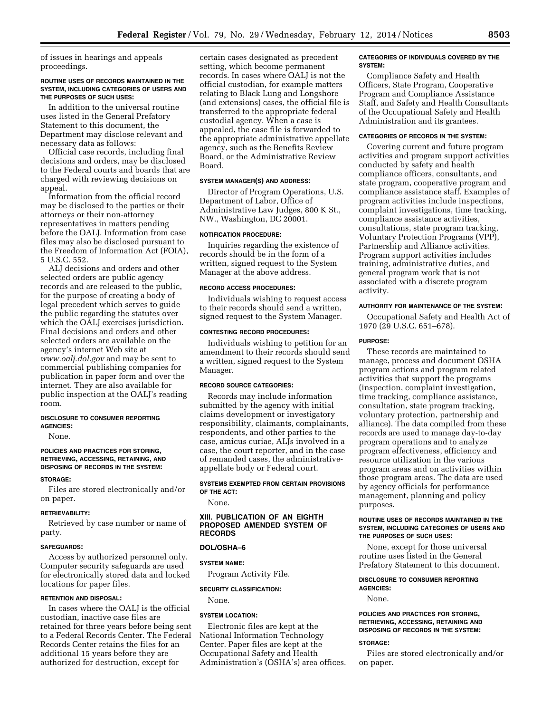of issues in hearings and appeals proceedings.

#### **ROUTINE USES OF RECORDS MAINTAINED IN THE SYSTEM, INCLUDING CATEGORIES OF USERS AND THE PURPOSES OF SUCH USES:**

In addition to the universal routine uses listed in the General Prefatory Statement to this document, the Department may disclose relevant and necessary data as follows:

Official case records, including final decisions and orders, may be disclosed to the Federal courts and boards that are charged with reviewing decisions on appeal.

Information from the official record may be disclosed to the parties or their attorneys or their non-attorney representatives in matters pending before the OALJ. Information from case files may also be disclosed pursuant to the Freedom of Information Act (FOIA), 5 U.S.C. 552.

ALJ decisions and orders and other selected orders are public agency records and are released to the public, for the purpose of creating a body of legal precedent which serves to guide the public regarding the statutes over which the OALJ exercises jurisdiction. Final decisions and orders and other selected orders are available on the agency's internet Web site at *[www.oalj.dol.gov](http://www.oalj.dol.gov)* and may be sent to commercial publishing companies for publication in paper form and over the internet. They are also available for public inspection at the OALJ's reading room.

# **DISCLOSURE TO CONSUMER REPORTING AGENCIES:**

None.

#### **POLICIES AND PRACTICES FOR STORING, RETRIEVING, ACCESSING, RETAINING, AND DISPOSING OF RECORDS IN THE SYSTEM:**

#### **STORAGE:**

Files are stored electronically and/or on paper.

#### **RETRIEVABILITY:**

Retrieved by case number or name of party.

#### **SAFEGUARDS:**

Access by authorized personnel only. Computer security safeguards are used for electronically stored data and locked locations for paper files.

#### **RETENTION AND DISPOSAL:**

In cases where the OALJ is the official custodian, inactive case files are retained for three years before being sent to a Federal Records Center. The Federal Records Center retains the files for an additional 15 years before they are authorized for destruction, except for

certain cases designated as precedent setting, which become permanent records. In cases where OALJ is not the official custodian, for example matters relating to Black Lung and Longshore (and extensions) cases, the official file is transferred to the appropriate federal custodial agency. When a case is appealed, the case file is forwarded to the appropriate administrative appellate agency, such as the Benefits Review Board, or the Administrative Review Board.

# **SYSTEM MANAGER(S) AND ADDRESS:**

Director of Program Operations, U.S. Department of Labor, Office of Administrative Law Judges, 800 K St., NW., Washington, DC 20001.

#### **NOTIFICATION PROCEDURE:**

Inquiries regarding the existence of records should be in the form of a written, signed request to the System Manager at the above address.

#### **RECORD ACCESS PROCEDURES:**

Individuals wishing to request access to their records should send a written, signed request to the System Manager.

#### **CONTESTING RECORD PROCEDURES:**

Individuals wishing to petition for an amendment to their records should send a written, signed request to the System Manager.

# **RECORD SOURCE CATEGORIES:**

Records may include information submitted by the agency with initial claims development or investigatory responsibility, claimants, complainants, respondents, and other parties to the case, amicus curiae, ALJs involved in a case, the court reporter, and in the case of remanded cases, the administrativeappellate body or Federal court.

# **SYSTEMS EXEMPTED FROM CERTAIN PROVISIONS OF THE ACT:**

None.

# **XIII. PUBLICATION OF AN EIGHTH PROPOSED AMENDED SYSTEM OF RECORDS**

# **DOL/OSHA–6**

# **SYSTEM NAME:**

Program Activity File.

# **SECURITY CLASSIFICATION:**

None.

# **SYSTEM LOCATION:**

Electronic files are kept at the National Information Technology Center. Paper files are kept at the Occupational Safety and Health Administration's (OSHA's) area offices.

#### **CATEGORIES OF INDIVIDUALS COVERED BY THE SYSTEM:**

Compliance Safety and Health Officers, State Program, Cooperative Program and Compliance Assistance Staff, and Safety and Health Consultants of the Occupational Safety and Health Administration and its grantees.

# **CATEGORIES OF RECORDS IN THE SYSTEM:**

Covering current and future program activities and program support activities conducted by safety and health compliance officers, consultants, and state program, cooperative program and compliance assistance staff. Examples of program activities include inspections, complaint investigations, time tracking, compliance assistance activities, consultations, state program tracking, Voluntary Protection Programs (VPP), Partnership and Alliance activities. Program support activities includes training, administrative duties, and general program work that is not associated with a discrete program activity.

### **AUTHORITY FOR MAINTENANCE OF THE SYSTEM:**

Occupational Safety and Health Act of 1970 (29 U.S.C. 651–678).

# **PURPOSE:**

These records are maintained to manage, process and document OSHA program actions and program related activities that support the programs (inspection, complaint investigation, time tracking, compliance assistance, consultation, state program tracking, voluntary protection, partnership and alliance). The data compiled from these records are used to manage day-to-day program operations and to analyze program effectiveness, efficiency and resource utilization in the various program areas and on activities within those program areas. The data are used by agency officials for performance management, planning and policy purposes.

#### **ROUTINE USES OF RECORDS MAINTAINED IN THE SYSTEM, INCLUDING CATEGORIES OF USERS AND THE PURPOSES OF SUCH USES:**

None, except for those universal routine uses listed in the General Prefatory Statement to this document.

# **DISCLOSURE TO CONSUMER REPORTING AGENCIES:**

None.

#### **POLICIES AND PRACTICES FOR STORING, RETRIEVING, ACCESSING, RETAINING AND DISPOSING OF RECORDS IN THE SYSTEM:**

#### **STORAGE:**

Files are stored electronically and/or on paper.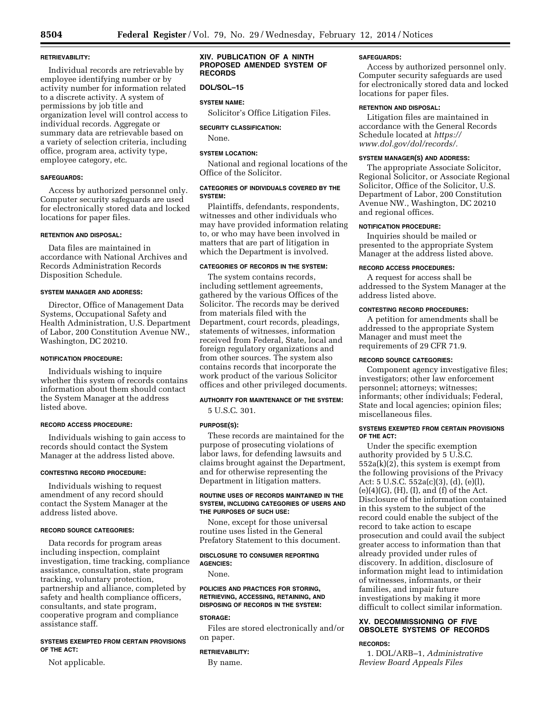# **RETRIEVABILITY:**

Individual records are retrievable by employee identifying number or by activity number for information related to a discrete activity. A system of permissions by job title and organization level will control access to individual records. Aggregate or summary data are retrievable based on a variety of selection criteria, including office, program area, activity type, employee category, etc.

# **SAFEGUARDS:**

Access by authorized personnel only. Computer security safeguards are used for electronically stored data and locked locations for paper files.

# **RETENTION AND DISPOSAL:**

Data files are maintained in accordance with National Archives and Records Administration Records Disposition Schedule.

# **SYSTEM MANAGER AND ADDRESS:**

Director, Office of Management Data Systems, Occupational Safety and Health Administration, U.S. Department of Labor, 200 Constitution Avenue NW., Washington, DC 20210.

#### **NOTIFICATION PROCEDURE:**

Individuals wishing to inquire whether this system of records contains information about them should contact the System Manager at the address listed above.

# **RECORD ACCESS PROCEDURE:**

Individuals wishing to gain access to records should contact the System Manager at the address listed above.

#### **CONTESTING RECORD PROCEDURE:**

Individuals wishing to request amendment of any record should contact the System Manager at the address listed above.

# **RECORD SOURCE CATEGORIES:**

Data records for program areas including inspection, complaint investigation, time tracking, compliance assistance, consultation, state program tracking, voluntary protection, partnership and alliance, completed by safety and health compliance officers, consultants, and state program, cooperative program and compliance assistance staff.

# **SYSTEMS EXEMPTED FROM CERTAIN PROVISIONS OF THE ACT:**

Not applicable.

#### **XIV. PUBLICATION OF A NINTH PROPOSED AMENDED SYSTEM OF RECORDS**

#### **DOL/SOL–15**

# **SYSTEM NAME:**

Solicitor's Office Litigation Files.

#### **SECURITY CLASSIFICATION:**

None.

# **SYSTEM LOCATION:**

National and regional locations of the Office of the Solicitor.

# **CATEGORIES OF INDIVIDUALS COVERED BY THE SYSTEM:**

Plaintiffs, defendants, respondents, witnesses and other individuals who may have provided information relating to, or who may have been involved in matters that are part of litigation in which the Department is involved.

# **CATEGORIES OF RECORDS IN THE SYSTEM:**

The system contains records, including settlement agreements, gathered by the various Offices of the Solicitor. The records may be derived from materials filed with the Department, court records, pleadings, statements of witnesses, information received from Federal, State, local and foreign regulatory organizations and from other sources. The system also contains records that incorporate the work product of the various Solicitor offices and other privileged documents.

# **AUTHORITY FOR MAINTENANCE OF THE SYSTEM:**

5 U.S.C. 301.

# **PURPOSE(S):**

These records are maintained for the purpose of prosecuting violations of labor laws, for defending lawsuits and claims brought against the Department, and for otherwise representing the Department in litigation matters.

#### **ROUTINE USES OF RECORDS MAINTAINED IN THE SYSTEM, INCLUDING CATEGORIES OF USERS AND THE PURPOSES OF SUCH USE:**

None, except for those universal routine uses listed in the General Prefatory Statement to this document.

#### **DISCLOSURE TO CONSUMER REPORTING AGENCIES:**

None.

#### **POLICIES AND PRACTICES FOR STORING, RETRIEVING, ACCESSING, RETAINING, AND DISPOSING OF RECORDS IN THE SYSTEM:**

#### **STORAGE:**

Files are stored electronically and/or on paper.

#### **RETRIEVABILITY:**

By name.

#### **SAFEGUARDS:**

Access by authorized personnel only. Computer security safeguards are used for electronically stored data and locked locations for paper files.

# **RETENTION AND DISPOSAL:**

Litigation files are maintained in accordance with the General Records Schedule located at *[https://](https://www.dol.gov/dol/records/) [www.dol.gov/dol/records/.](https://www.dol.gov/dol/records/)* 

#### **SYSTEM MANAGER(S) AND ADDRESS:**

The appropriate Associate Solicitor, Regional Solicitor, or Associate Regional Solicitor, Office of the Solicitor, U.S. Department of Labor, 200 Constitution Avenue NW., Washington, DC 20210 and regional offices.

#### **NOTIFICATION PROCEDURE:**

Inquiries should be mailed or presented to the appropriate System Manager at the address listed above.

#### **RECORD ACCESS PROCEDURES:**

A request for access shall be addressed to the System Manager at the address listed above.

# **CONTESTING RECORD PROCEDURES:**

A petition for amendments shall be addressed to the appropriate System Manager and must meet the requirements of 29 CFR 71.9.

#### **RECORD SOURCE CATEGORIES:**

Component agency investigative files; investigators; other law enforcement personnel; attorneys; witnesses; informants; other individuals; Federal, State and local agencies; opinion files; miscellaneous files.

# **SYSTEMS EXEMPTED FROM CERTAIN PROVISIONS OF THE ACT:**

Under the specific exemption authority provided by 5 U.S.C.  $552a(k)(2)$ , this system is exempt from the following provisions of the Privacy Act: 5 U.S.C. 552a(c)(3), (d), (e)(l),  $(e)(4)(G)$ ,  $(H)$ ,  $(I)$ , and  $(f)$  of the Act. Disclosure of the information contained in this system to the subject of the record could enable the subject of the record to take action to escape prosecution and could avail the subject greater access to information than that already provided under rules of discovery. In addition, disclosure of information might lead to intimidation of witnesses, informants, or their families, and impair future investigations by making it more difficult to collect similar information.

# **XV. DECOMMISSIONING OF FIVE OBSOLETE SYSTEMS OF RECORDS**

#### **RECORDS:**

1. DOL/ARB–1, *Administrative Review Board Appeals Files*